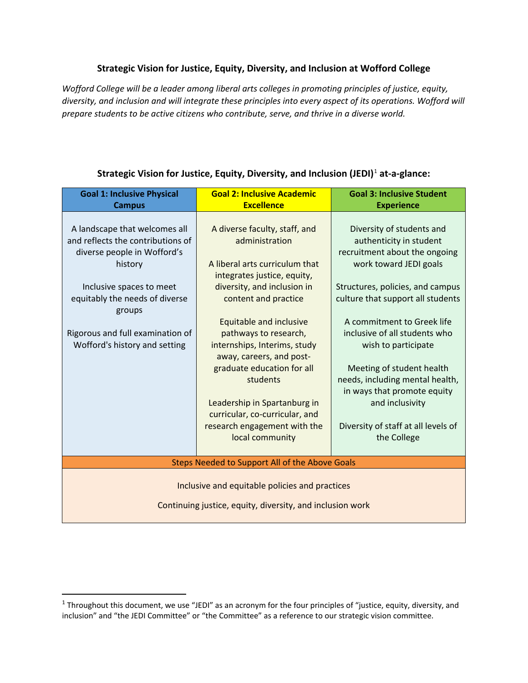# **Strategic Vision for Justice, Equity, Diversity, and Inclusion at Wofford College**

*Wofford College will be a leader among liberal arts colleges in promoting principles of justice, equity, diversity, and inclusion and will integrate these principles into every aspect of its operations. Wofford will prepare students to be active citizens who contribute, serve, and thrive in a diverse world.*

| <b>Goal 1: Inclusive Physical</b>                                                                                                        | <b>Goal 2: Inclusive Academic</b>                                                                                                                                                                                                                                                  | <b>Goal 3: Inclusive Student</b>                                                                                                                                                                                                                           |  |
|------------------------------------------------------------------------------------------------------------------------------------------|------------------------------------------------------------------------------------------------------------------------------------------------------------------------------------------------------------------------------------------------------------------------------------|------------------------------------------------------------------------------------------------------------------------------------------------------------------------------------------------------------------------------------------------------------|--|
| <b>Campus</b>                                                                                                                            | <b>Excellence</b>                                                                                                                                                                                                                                                                  | <b>Experience</b>                                                                                                                                                                                                                                          |  |
| A landscape that welcomes all<br>and reflects the contributions of<br>diverse people in Wofford's<br>history<br>Inclusive spaces to meet | A diverse faculty, staff, and<br>administration<br>A liberal arts curriculum that<br>integrates justice, equity,<br>diversity, and inclusion in                                                                                                                                    | Diversity of students and<br>authenticity in student<br>recruitment about the ongoing<br>work toward JEDI goals<br>Structures, policies, and campus                                                                                                        |  |
| equitably the needs of diverse<br>groups                                                                                                 | content and practice                                                                                                                                                                                                                                                               | culture that support all students                                                                                                                                                                                                                          |  |
| Rigorous and full examination of<br>Wofford's history and setting                                                                        | <b>Equitable and inclusive</b><br>pathways to research,<br>internships, Interims, study<br>away, careers, and post-<br>graduate education for all<br>students<br>Leadership in Spartanburg in<br>curricular, co-curricular, and<br>research engagement with the<br>local community | A commitment to Greek life<br>inclusive of all students who<br>wish to participate<br>Meeting of student health<br>needs, including mental health,<br>in ways that promote equity<br>and inclusivity<br>Diversity of staff at all levels of<br>the College |  |
| Steps Needed to Support All of the Above Goals                                                                                           |                                                                                                                                                                                                                                                                                    |                                                                                                                                                                                                                                                            |  |
| Inclusive and equitable policies and practices<br>Continuing justice, equity, diversity, and inclusion work                              |                                                                                                                                                                                                                                                                                    |                                                                                                                                                                                                                                                            |  |

## **Strategic Vision for Justice, Equity, Diversity, and Inclusion (JEDI)**[1](#page-0-0) **at-a-glance:**

<span id="page-0-0"></span> $1$  Throughout this document, we use "JEDI" as an acronym for the four principles of "justice, equity, diversity, and inclusion" and "the JEDI Committee" or "the Committee" as a reference to our strategic vision committee.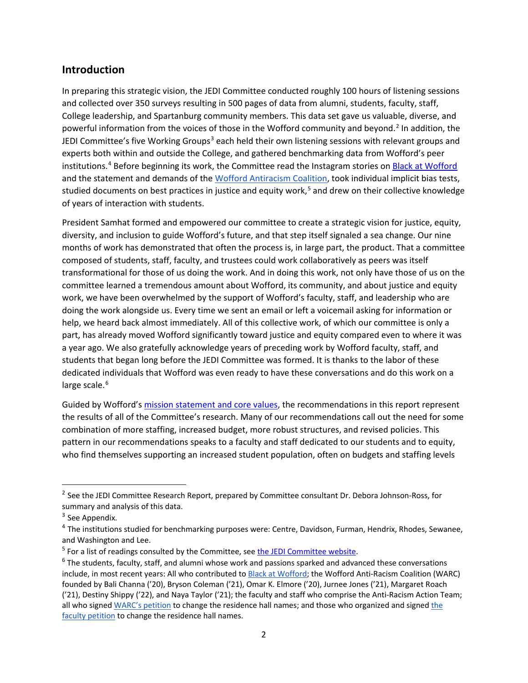# **Introduction**

In preparing this strategic vision, the JEDI Committee conducted roughly 100 hours of listening sessions and collected over 350 surveys resulting in 500 pages of data from alumni, students, faculty, staff, College leadership, and Spartanburg community members. This data set gave us valuable, diverse, and powerful information from the voices of those in the Wofford community and beyond.<sup>[2](#page-1-0)</sup> In addition, the JEDI Committee's five Working Groups<sup>[3](#page-1-1)</sup> each held their own listening sessions with relevant groups and experts both within and outside the College, and gathered benchmarking data from Wofford's peer institutions.<sup>[4](#page-1-2)</sup> Before beginning its work, the Committee read the Instagram stories on [Black at Wofford](https://www.instagram.com/blackatwofford/?hl=en) and the statement and demands of the [Wofford Antiracism Coalition,](https://woffordcoalition.blogspot.com/2020/10/updated-demands.html) took individual implicit bias tests, studied documents on best practices in justice and equity work,<sup>[5](#page-1-3)</sup> and drew on their collective knowledge of years of interaction with students.

President Samhat formed and empowered our committee to create a strategic vision for justice, equity, diversity, and inclusion to guide Wofford's future, and that step itself signaled a sea change. Our nine months of work has demonstrated that often the process is, in large part, the product. That a committee composed of students, staff, faculty, and trustees could work collaboratively as peers was itself transformational for those of us doing the work. And in doing this work, not only have those of us on the committee learned a tremendous amount about Wofford, its community, and about justice and equity work, we have been overwhelmed by the support of Wofford's faculty, staff, and leadership who are doing the work alongside us. Every time we sent an email or left a voicemail asking for information or help, we heard back almost immediately. All of this collective work, of which our committee is only a part, has already moved Wofford significantly toward justice and equity compared even to where it was a year ago. We also gratefully acknowledge years of preceding work by Wofford faculty, staff, and students that began long before the JEDI Committee was formed. It is thanks to the labor of these dedicated individuals that Wofford was even ready to have these conversations and do this work on a large scale.<sup>[6](#page-1-4)</sup>

Guided by Wofford's [mission statement and core values,](https://www.wofford.edu/about/fast-facts/mission-statement) the recommendations in this report represent the results of all of the Committee's research. Many of our recommendations call out the need for some combination of more staffing, increased budget, more robust structures, and revised policies. This pattern in our recommendations speaks to a faculty and staff dedicated to our students and to equity, who find themselves supporting an increased student population, often on budgets and staffing levels

l

<span id="page-1-0"></span><sup>&</sup>lt;sup>2</sup> See the JEDI Committee Research Report, prepared by Committee consultant Dr. Debora Johnson-Ross, for summary and analysis of this data.

<span id="page-1-1"></span><sup>&</sup>lt;sup>3</sup> See Appendix.

<span id="page-1-2"></span><sup>4</sup> The institutions studied for benchmarking purposes were: Centre, Davidson, Furman, Hendrix, Rhodes, Sewanee, and Washington and Lee.

<span id="page-1-4"></span><span id="page-1-3"></span><sup>&</sup>lt;sup>5</sup> For a list of readings consulted by the Committee, see **the JEDI Committee website**.<br><sup>6</sup> The students, faculty, staff, and alumni whose work and passions sparked and advanced these conversations include, in most recent years: All who contributed to **Black at Wofford**; the Wofford Anti-Racism Coalition (WARC) founded by Bali Channa ('20), Bryson Coleman ('21), Omar K. Elmore ('20), Jurnee Jones ('21), Margaret Roach ('21), Destiny Shippy ('22), and Naya Taylor ('21); the faculty and staff who comprise the Anti-Racism Action Team; all who signe[d WARC's petition](https://www.change.org/p/president-nayef-samhat-rename-buildings-glorifying-slaveholders-at-wofford-college-52e6743d-1a1d-4f78-a6c8-7983c44ad43d) to change the residence hall names; and those who organized and signed [the](https://www.dropbox.com/s/qi9xoklwcmjpwk6/Faculty.petition.signed.pdf?dl=0)  [faculty petition](https://www.dropbox.com/s/qi9xoklwcmjpwk6/Faculty.petition.signed.pdf?dl=0) to change the residence hall names.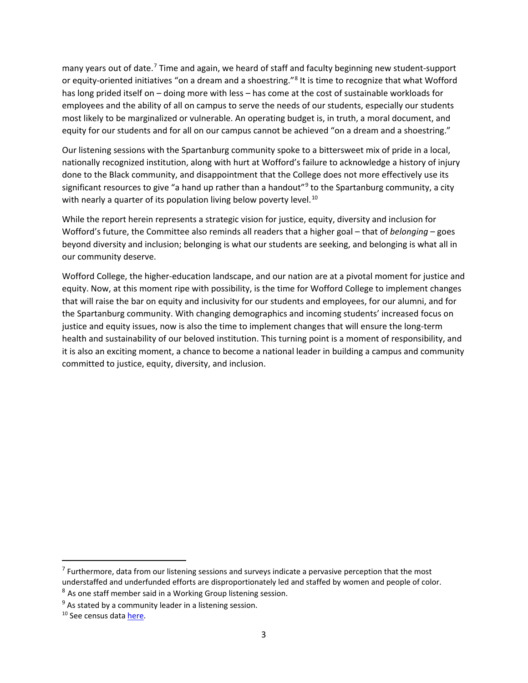many years out of date.<sup>[7](#page-2-0)</sup> Time and again, we heard of staff and faculty beginning new student-support or equity-oriented initiatives "on a dream and a shoestring."<sup>[8](#page-2-1)</sup> It is time to recognize that what Wofford has long prided itself on – doing more with less – has come at the cost of sustainable workloads for employees and the ability of all on campus to serve the needs of our students, especially our students most likely to be marginalized or vulnerable. An operating budget is, in truth, a moral document, and equity for our students and for all on our campus cannot be achieved "on a dream and a shoestring."

Our listening sessions with the Spartanburg community spoke to a bittersweet mix of pride in a local, nationally recognized institution, along with hurt at Wofford's failure to acknowledge a history of injury done to the Black community, and disappointment that the College does not more effectively use its significant resources to give "a hand up rather than a handout"<sup>[9](#page-2-2)</sup> to the Spartanburg community, a city with nearly a quarter of its population living below poverty level.<sup>[10](#page-2-3)</sup>

While the report herein represents a strategic vision for justice, equity, diversity and inclusion for Wofford's future, the Committee also reminds all readers that a higher goal – that of *belonging* – goes beyond diversity and inclusion; belonging is what our students are seeking, and belonging is what all in our community deserve.

Wofford College, the higher-education landscape, and our nation are at a pivotal moment for justice and equity. Now, at this moment ripe with possibility, is the time for Wofford College to implement changes that will raise the bar on equity and inclusivity for our students and employees, for our alumni, and for the Spartanburg community. With changing demographics and incoming students' increased focus on justice and equity issues, now is also the time to implement changes that will ensure the long-term health and sustainability of our beloved institution. This turning point is a moment of responsibility, and it is also an exciting moment, a chance to become a national leader in building a campus and community committed to justice, equity, diversity, and inclusion.

<span id="page-2-0"></span> $<sup>7</sup>$  Furthermore, data from our listening sessions and surveys indicate a pervasive perception that the most</sup> understaffed and underfunded efforts are disproportionately led and staffed by women and people of color.

<span id="page-2-1"></span><sup>&</sup>lt;sup>8</sup> As one staff member said in a Working Group listening session.

<span id="page-2-2"></span> $9$  As stated by a community leader in a listening session.

<span id="page-2-3"></span><sup>&</sup>lt;sup>10</sup> See census data [here.](https://www.census.gov/quickfacts/fact/table/spartanburgcitysouthcarolina/PST045219)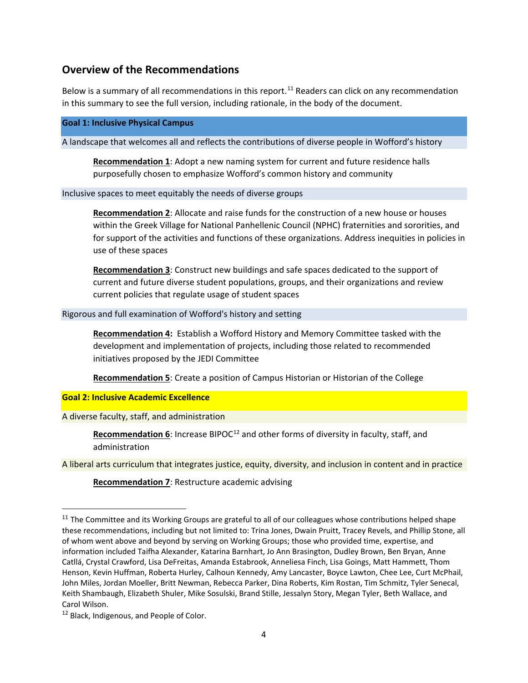# **Overview of the Recommendations**

Below is a summary of all recommendations in this report.<sup>[11](#page-3-0)</sup> Readers can click on any recommendation in this summary to see the full version, including rationale, in the body of the document.

#### **Goal 1: Inclusive Physical Campus**

A landscape that welcomes all and reflects the contributions of diverse people in Wofford's history

**[Recommendation 1](#page-6-0)**: Adopt a new naming system for current and future residence halls purposefully chosen to emphasize Wofford's common history and community

#### Inclusive spaces to meet equitably the needs of diverse groups

**[Recommendation 2](#page-7-0)**: Allocate and raise funds for the construction of a new house or houses within the Greek Village for National Panhellenic Council (NPHC) fraternities and sororities, and for support of the activities and functions of these organizations. Address inequities in policies in use of these spaces

**[Recommendation 3](#page-8-0)**: Construct new buildings and safe spaces dedicated to the support of current and future diverse student populations, groups, and their organizations and review current policies that regulate usage of student spaces

#### Rigorous and full examination of Wofford's history and setting

**[Recommendation 4:](#page-8-1)** Establish a Wofford History and Memory Committee tasked with the development and implementation of projects, including those related to recommended initiatives proposed by the JEDI Committee

**[Recommendation 5](#page-9-0)**: Create a position of Campus Historian or Historian of the College

### **Goal 2: Inclusive Academic Excellence**

A diverse faculty, staff, and administration

**[Recommendation 6](#page-10-0)**: Increase BIPOC<sup>[12](#page-3-1)</sup> and other forms of diversity in faculty, staff, and administration

A liberal arts curriculum that integrates justice, equity, diversity, and inclusion in content and in practice

**[Recommendation 7](#page-11-0)**: Restructure academic advising

<span id="page-3-0"></span><sup>&</sup>lt;sup>11</sup> The Committee and its Working Groups are grateful to all of our colleagues whose contributions helped shape these recommendations, including but not limited to: Trina Jones, Dwain Pruitt, Tracey Revels, and Phillip Stone, all of whom went above and beyond by serving on Working Groups; those who provided time, expertise, and information included Taifha Alexander, Katarina Barnhart, Jo Ann Brasington, Dudley Brown, Ben Bryan, Anne Catllá, Crystal Crawford, Lisa DeFreitas, Amanda Estabrook, Anneliesa Finch, Lisa Goings, Matt Hammett, Thom Henson, Kevin Huffman, Roberta Hurley, Calhoun Kennedy, Amy Lancaster, Boyce Lawton, Chee Lee, Curt McPhail, John Miles, Jordan Moeller, Britt Newman, Rebecca Parker, Dina Roberts, Kim Rostan, Tim Schmitz, Tyler Senecal, Keith Shambaugh, Elizabeth Shuler, Mike Sosulski, Brand Stille, Jessalyn Story, Megan Tyler, Beth Wallace, and Carol Wilson.

<span id="page-3-1"></span><sup>&</sup>lt;sup>12</sup> Black, Indigenous, and People of Color.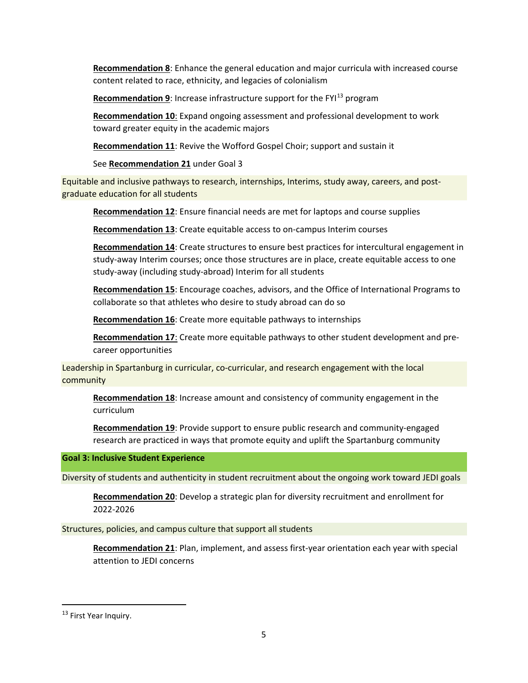**[Recommendation 8](#page-12-0)**: Enhance the general education and major curricula with increased course content related to race, ethnicity, and legacies of colonialism

**[Recommendation 9](#page-13-0):** Increase infrastructure support for the FYI<sup>[13](#page-4-0)</sup> program

**[Recommendation 10](#page-14-0)**: Expand ongoing assessment and professional development to work toward greater equity in the academic majors

**[Recommendation 11](#page-15-0)**: Revive the Wofford Gospel Choir; support and sustain it

See **[Recommendation 21](#page-24-0)** under Goal 3

Equitable and inclusive pathways to research, internships, Interims, study away, careers, and postgraduate education for all students

**[Recommendation 12](#page-15-1)**: Ensure financial needs are met for laptops and course supplies

**[Recommendation 13](#page-16-0)**: Create equitable access to on-campus Interim courses

**[Recommendation 14](#page-16-1)**: Create structures to ensure best practices for intercultural engagement in study-away Interim courses; once those structures are in place, create equitable access to one study-away (including study-abroad) Interim for all students

**[Recommendation 15](#page-18-0)**: Encourage coaches, advisors, and the Office of International Programs to collaborate so that athletes who desire to study abroad can do so

**[Recommendation 16](#page-18-1)**: Create more equitable pathways to internships

**[Recommendation 17](#page-20-0)**: Create more equitable pathways to other student development and precareer opportunities

Leadership in Spartanburg in curricular, co-curricular, and research engagement with the local community

**[Recommendation 18](#page-20-1)**: Increase amount and consistency of community engagement in the curriculum

**[Recommendation 19](#page-21-0)**: Provide support to ensure public research and community-engaged research are practiced in ways that promote equity and uplift the Spartanburg community

**Goal 3: Inclusive Student Experience**

Diversity of students and authenticity in student recruitment about the ongoing work toward JEDI goals

**[Recommendation 20](#page-22-0)**: Develop a strategic plan for diversity recruitment and enrollment for 2022-2026

Structures, policies, and campus culture that support all students

**[Recommendation 21](#page-24-0)**: Plan, implement, and assess first-year orientation each year with special attention to JEDI concerns

l

<span id="page-4-0"></span><sup>&</sup>lt;sup>13</sup> First Year Inquiry.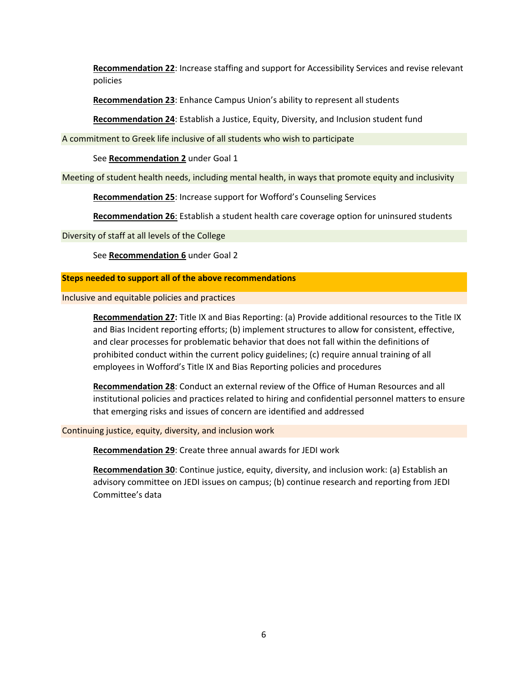**[Recommendation 22](#page-25-0)**: Increase staffing and support for Accessibility Services and revise relevant policies

**[Recommendation 23](#page-26-0)**: Enhance Campus Union's ability to represent all students

**[Recommendation 24](#page-26-1)**: Establish a Justice, Equity, Diversity, and Inclusion student fund

A commitment to Greek life inclusive of all students who wish to participate

See **[Recommendation 2](#page-7-0)** under Goal 1

Meeting of student health needs, including mental health, in ways that promote equity and inclusivity

**[Recommendation 25](#page-27-0)**: Increase support for Wofford's Counseling Services

**[Recommendation 26](#page-27-1)**: Establish a student health care coverage option for uninsured students

Diversity of staff at all levels of the College

See **[Recommendation 6](#page-10-0)** under Goal 2

#### **Steps needed to support all of the above recommendations**

Inclusive and equitable policies and practices

**[Recommendation 27:](#page-28-0)** Title IX and Bias Reporting: (a) Provide additional resources to the Title IX and Bias Incident reporting efforts; (b) implement structures to allow for consistent, effective, and clear processes for problematic behavior that does not fall within the definitions of prohibited conduct within the current policy guidelines; (c) require annual training of all employees in Wofford's Title IX and Bias Reporting policies and procedures

**[Recommendation 28](#page-31-0)**: Conduct an external review of the Office of Human Resources and all institutional policies and practices related to hiring and confidential personnel matters to ensure that emerging risks and issues of concern are identified and addressed

Continuing justice, equity, diversity, and inclusion work

**[Recommendation 29](#page-32-0)**: Create three annual awards for JEDI work

**[Recommendation 30](#page-32-1)**: Continue justice, equity, diversity, and inclusion work: (a) Establish an advisory committee on JEDI issues on campus; (b) continue research and reporting from JEDI Committee's data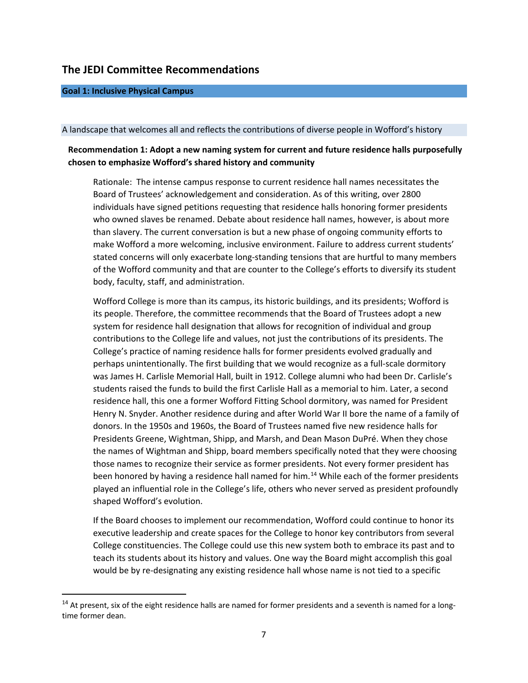## **The JEDI Committee Recommendations**

#### **Goal 1: Inclusive Physical Campus**

 $\overline{\phantom{a}}$ 

#### A landscape that welcomes all and reflects the contributions of diverse people in Wofford's history

### <span id="page-6-0"></span>**Recommendation 1: Adopt a new naming system for current and future residence halls purposefully chosen to emphasize Wofford's shared history and community**

Rationale: The intense campus response to current residence hall names necessitates the Board of Trustees' acknowledgement and consideration. As of this writing, over 2800 individuals have signed petitions requesting that residence halls honoring former presidents who owned slaves be renamed. Debate about residence hall names, however, is about more than slavery. The current conversation is but a new phase of ongoing community efforts to make Wofford a more welcoming, inclusive environment. Failure to address current students' stated concerns will only exacerbate long-standing tensions that are hurtful to many members of the Wofford community and that are counter to the College's efforts to diversify its student body, faculty, staff, and administration.

Wofford College is more than its campus, its historic buildings, and its presidents; Wofford is its people. Therefore, the committee recommends that the Board of Trustees adopt a new system for residence hall designation that allows for recognition of individual and group contributions to the College life and values, not just the contributions of its presidents. The College's practice of naming residence halls for former presidents evolved gradually and perhaps unintentionally. The first building that we would recognize as a full-scale dormitory was James H. Carlisle Memorial Hall, built in 1912. College alumni who had been Dr. Carlisle's students raised the funds to build the first Carlisle Hall as a memorial to him. Later, a second residence hall, this one a former Wofford Fitting School dormitory, was named for President Henry N. Snyder. Another residence during and after World War II bore the name of a family of donors. In the 1950s and 1960s, the Board of Trustees named five new residence halls for Presidents Greene, Wightman, Shipp, and Marsh, and Dean Mason DuPré. When they chose the names of Wightman and Shipp, board members specifically noted that they were choosing those names to recognize their service as former presidents. Not every former president has been honored by having a residence hall named for him.<sup>[14](#page-6-1)</sup> While each of the former presidents played an influential role in the College's life, others who never served as president profoundly shaped Wofford's evolution.

If the Board chooses to implement our recommendation, Wofford could continue to honor its executive leadership and create spaces for the College to honor key contributors from several College constituencies. The College could use this new system both to embrace its past and to teach its students about its history and values. One way the Board might accomplish this goal would be by re-designating any existing residence hall whose name is not tied to a specific

<span id="page-6-1"></span><sup>&</sup>lt;sup>14</sup> At present, six of the eight residence halls are named for former presidents and a seventh is named for a longtime former dean.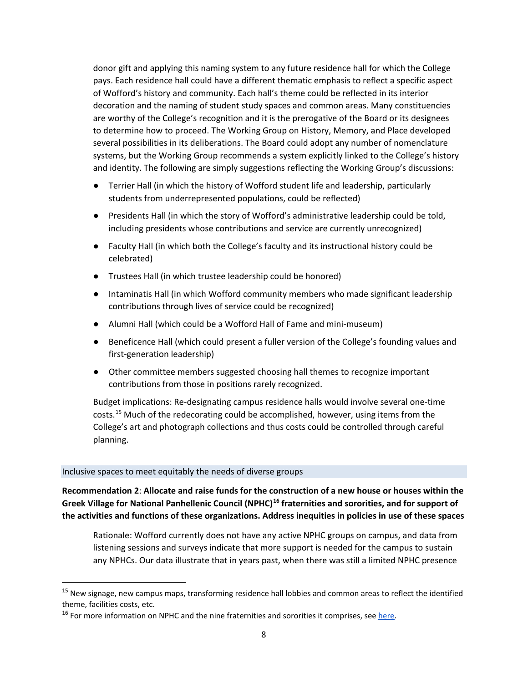donor gift and applying this naming system to any future residence hall for which the College pays. Each residence hall could have a different thematic emphasis to reflect a specific aspect of Wofford's history and community. Each hall's theme could be reflected in its interior decoration and the naming of student study spaces and common areas. Many constituencies are worthy of the College's recognition and it is the prerogative of the Board or its designees to determine how to proceed. The Working Group on History, Memory, and Place developed several possibilities in its deliberations. The Board could adopt any number of nomenclature systems, but the Working Group recommends a system explicitly linked to the College's history and identity. The following are simply suggestions reflecting the Working Group's discussions:

- Terrier Hall (in which the history of Wofford student life and leadership, particularly students from underrepresented populations, could be reflected)
- Presidents Hall (in which the story of Wofford's administrative leadership could be told, including presidents whose contributions and service are currently unrecognized)
- Faculty Hall (in which both the College's faculty and its instructional history could be celebrated)
- Trustees Hall (in which trustee leadership could be honored)
- Intaminatis Hall (in which Wofford community members who made significant leadership contributions through lives of service could be recognized)
- Alumni Hall (which could be a Wofford Hall of Fame and mini-museum)
- Beneficence Hall (which could present a fuller version of the College's founding values and first-generation leadership)
- Other committee members suggested choosing hall themes to recognize important contributions from those in positions rarely recognized.

Budget implications: Re-designating campus residence halls would involve several one-time costs.<sup>[15](#page-7-1)</sup> Much of the redecorating could be accomplished, however, using items from the College's art and photograph collections and thus costs could be controlled through careful planning.

### Inclusive spaces to meet equitably the needs of diverse groups

 $\overline{a}$ 

<span id="page-7-0"></span>**Recommendation 2**: **Allocate and raise funds for the construction of a new house or houses within the Greek Village for National Panhellenic Council (NPHC)[16](#page-7-2) fraternities and sororities, and for support of the activities and functions of these organizations. Address inequities in policies in use of these spaces**

Rationale: Wofford currently does not have any active NPHC groups on campus, and data from listening sessions and surveys indicate that more support is needed for the campus to sustain any NPHCs. Our data illustrate that in years past, when there was still a limited NPHC presence

<span id="page-7-1"></span><sup>&</sup>lt;sup>15</sup> New signage, new campus maps, transforming residence hall lobbies and common areas to reflect the identified theme, facilities costs, etc.

<span id="page-7-2"></span><sup>&</sup>lt;sup>16</sup> For more information on NPHC and the nine fraternities and sororities it comprises, see [here.](https://nphchq.com/millennium1/about/)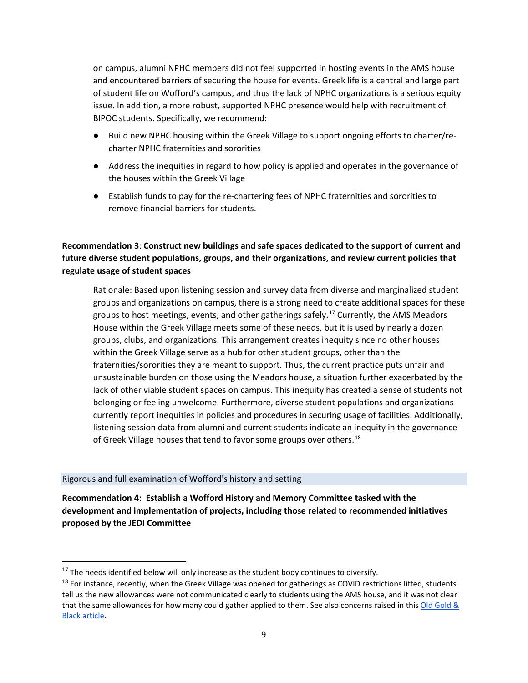on campus, alumni NPHC members did not feel supported in hosting events in the AMS house and encountered barriers of securing the house for events. Greek life is a central and large part of student life on Wofford's campus, and thus the lack of NPHC organizations is a serious equity issue. In addition, a more robust, supported NPHC presence would help with recruitment of BIPOC students. Specifically, we recommend:

- Build new NPHC housing within the Greek Village to support ongoing efforts to charter/recharter NPHC fraternities and sororities
- Address the inequities in regard to how policy is applied and operates in the governance of the houses within the Greek Village
- Establish funds to pay for the re-chartering fees of NPHC fraternities and sororities to remove financial barriers for students.

<span id="page-8-0"></span>**Recommendation 3**: **Construct new buildings and safe spaces dedicated to the support of current and future diverse student populations, groups, and their organizations, and review current policies that regulate usage of student spaces**

Rationale: Based upon listening session and survey data from diverse and marginalized student groups and organizations on campus, there is a strong need to create additional spaces for these groups to host meetings, events, and other gatherings safely.<sup>[17](#page-8-2)</sup> Currently, the AMS Meadors House within the Greek Village meets some of these needs, but it is used by nearly a dozen groups, clubs, and organizations. This arrangement creates inequity since no other houses within the Greek Village serve as a hub for other student groups, other than the fraternities/sororities they are meant to support. Thus, the current practice puts unfair and unsustainable burden on those using the Meadors house, a situation further exacerbated by the lack of other viable student spaces on campus. This inequity has created a sense of students not belonging or feeling unwelcome. Furthermore, diverse student populations and organizations currently report inequities in policies and procedures in securing usage of facilities. Additionally, listening session data from alumni and current students indicate an inequity in the governance of Greek Village houses that tend to favor some groups over others.<sup>18</sup>

### Rigorous and full examination of Wofford's history and setting

 $\overline{\phantom{a}}$ 

<span id="page-8-1"></span>**Recommendation 4: Establish a Wofford History and Memory Committee tasked with the development and implementation of projects, including those related to recommended initiatives proposed by the JEDI Committee**

<span id="page-8-2"></span> $17$  The needs identified below will only increase as the student body continues to diversify.

<span id="page-8-3"></span> $18$  For instance, recently, when the Greek Village was opened for gatherings as COVID restrictions lifted, students tell us the new allowances were not communicated clearly to students using the AMS house, and it was not clear that the same allowances for how many could gather applied to them. See also concerns raised in this Old Gold & [Black article.](https://woffordogb.com/2021/04/01/panhellenic-house-permissions-unclear/)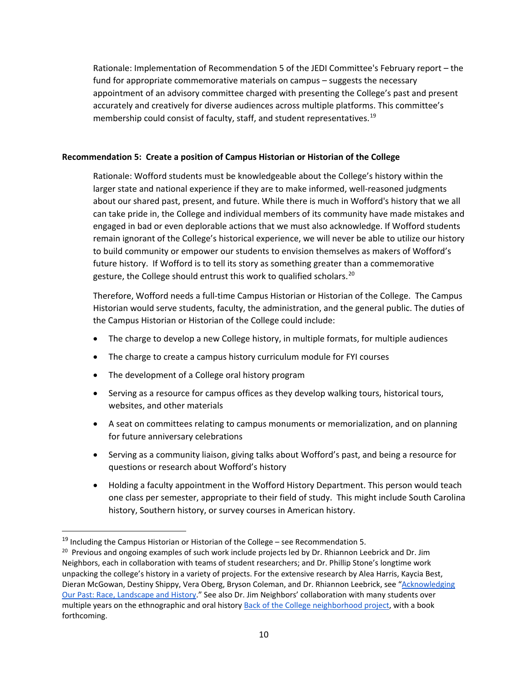Rationale: Implementation of Recommendation 5 of the JEDI Committee's February report – the fund for appropriate commemorative materials on campus – suggests the necessary appointment of an advisory committee charged with presenting the College's past and present accurately and creatively for diverse audiences across multiple platforms. This committee's membership could consist of faculty, staff, and student representatives.<sup>[19](#page-9-1)</sup>

### <span id="page-9-0"></span>**Recommendation 5: Create a position of Campus Historian or Historian of the College**

Rationale: Wofford students must be knowledgeable about the College's history within the larger state and national experience if they are to make informed, well-reasoned judgments about our shared past, present, and future. While there is much in Wofford's history that we all can take pride in, the College and individual members of its community have made mistakes and engaged in bad or even deplorable actions that we must also acknowledge. If Wofford students remain ignorant of the College's historical experience, we will never be able to utilize our history to build community or empower our students to envision themselves as makers of Wofford's future history. If Wofford is to tell its story as something greater than a commemorative gesture, the College should entrust this work to qualified scholars.<sup>[20](#page-9-2)</sup>

Therefore, Wofford needs a full-time Campus Historian or Historian of the College. The Campus Historian would serve students, faculty, the administration, and the general public. The duties of the Campus Historian or Historian of the College could include:

- The charge to develop a new College history, in multiple formats, for multiple audiences
- The charge to create a campus history curriculum module for FYI courses
- The development of a College oral history program
- Serving as a resource for campus offices as they develop walking tours, historical tours, websites, and other materials
- A seat on committees relating to campus monuments or memorialization, and on planning for future anniversary celebrations
- Serving as a community liaison, giving talks about Wofford's past, and being a resource for questions or research about Wofford's history
- Holding a faculty appointment in the Wofford History Department. This person would teach one class per semester, appropriate to their field of study. This might include South Carolina history, Southern history, or survey courses in American history.

<span id="page-9-1"></span> $19$  Including the Campus Historian or Historian of the College – see Recommendation 5.

<span id="page-9-2"></span><sup>&</sup>lt;sup>20</sup> Previous and ongoing examples of such work include projects led by Dr. Rhiannon Leebrick and Dr. Jim Neighbors, each in collaboration with teams of student researchers; and Dr. Phillip Stone's longtime work unpacking the college's history in a variety of projects. For the extensive research by Alea Harris, Kaycia Best, Dieran McGowan, Destiny Shippy, Vera Oberg, Bryson Coleman, and Dr. Rhiannon Leebrick, see ["Acknowledging](https://digitalcommons.wofford.edu/studentpubs/28/)  [Our Past: Race, Landscape and History.](https://digitalcommons.wofford.edu/studentpubs/28/)" See also Dr. Jim Neighbors' collaboration with many students over multiple years on the ethnographic and oral history [Back of the College neighborhood project,](https://www.wofford.edu/about/news/wofford-today/archive/2020/fall/the-back-of-the-college-neighborhood) with a book forthcoming.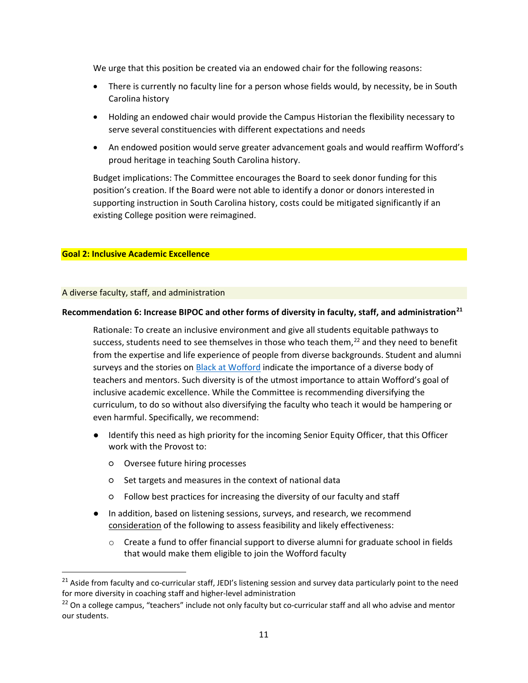We urge that this position be created via an endowed chair for the following reasons:

- There is currently no faculty line for a person whose fields would, by necessity, be in South Carolina history
- Holding an endowed chair would provide the Campus Historian the flexibility necessary to serve several constituencies with different expectations and needs
- An endowed position would serve greater advancement goals and would reaffirm Wofford's proud heritage in teaching South Carolina history.

Budget implications: The Committee encourages the Board to seek donor funding for this position's creation. If the Board were not able to identify a donor or donors interested in supporting instruction in South Carolina history, costs could be mitigated significantly if an existing College position were reimagined.

#### **Goal 2: Inclusive Academic Excellence**

#### A diverse faculty, staff, and administration

 $\overline{\phantom{a}}$ 

### <span id="page-10-0"></span>**Recommendation 6: Increase BIPOC and other forms of diversity in faculty, staff, and administration[21](#page-10-1)**

Rationale: To create an inclusive environment and give all students equitable pathways to success, students need to see themselves in those who teach them, $^{22}$  $^{22}$  $^{22}$  and they need to benefit from the expertise and life experience of people from diverse backgrounds. Student and alumni surveys and the stories on [Black at Wofford](https://www.instagram.com/blackatwofford/?hl=en) indicate the importance of a diverse body of teachers and mentors. Such diversity is of the utmost importance to attain Wofford's goal of inclusive academic excellence. While the Committee is recommending diversifying the curriculum, to do so without also diversifying the faculty who teach it would be hampering or even harmful. Specifically, we recommend:

- Identify this need as high priority for the incoming Senior Equity Officer, that this Officer work with the Provost to:
	- Oversee future hiring processes
	- Set targets and measures in the context of national data
	- Follow best practices for increasing the diversity of our faculty and staff
- In addition, based on listening sessions, surveys, and research, we recommend consideration of the following to assess feasibility and likely effectiveness:
	- $\circ$  Create a fund to offer financial support to diverse alumni for graduate school in fields that would make them eligible to join the Wofford faculty

<span id="page-10-1"></span><sup>&</sup>lt;sup>21</sup> Aside from faculty and co-curricular staff, JEDI's listening session and survey data particularly point to the need for more diversity in coaching staff and higher-level administration

<span id="page-10-2"></span> $22$  On a college campus, "teachers" include not only faculty but co-curricular staff and all who advise and mentor our students.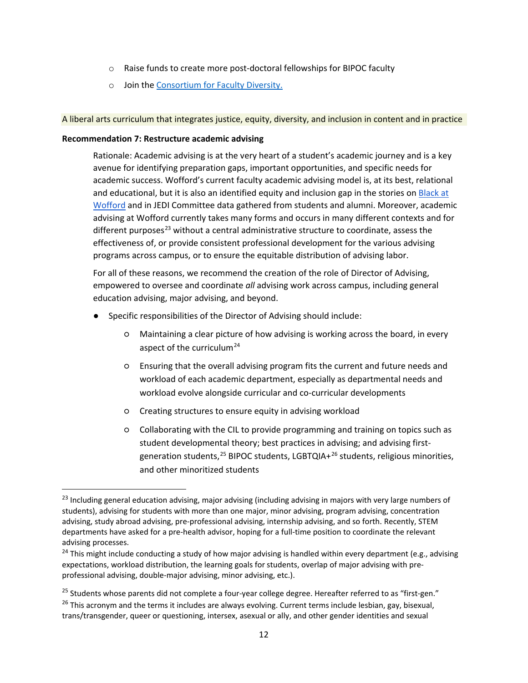- o Raise funds to create more post-doctoral fellowships for BIPOC faculty
- o Join the [Consortium for Faculty Diversity.](https://www.gettysburg.edu/offices/provost/consortium-for-faculty-diversity/)

A liberal arts curriculum that integrates justice, equity, diversity, and inclusion in content and in practice

#### <span id="page-11-0"></span>**Recommendation 7: Restructure academic advising**

 $\overline{\phantom{a}}$ 

Rationale: Academic advising is at the very heart of a student's academic journey and is a key avenue for identifying preparation gaps, important opportunities, and specific needs for academic success. Wofford's current faculty academic advising model is, at its best, relational and educational, but it is also an identified equity and inclusion gap in the stories o[n Black at](https://www.instagram.com/blackatwofford/?hl=en)  [Wofford](https://www.instagram.com/blackatwofford/?hl=en) and in JEDI Committee data gathered from students and alumni. Moreover, academic advising at Wofford currently takes many forms and occurs in many different contexts and for different purposes<sup>[23](#page-11-1)</sup> without a central administrative structure to coordinate, assess the effectiveness of, or provide consistent professional development for the various advising programs across campus, or to ensure the equitable distribution of advising labor.

For all of these reasons, we recommend the creation of the role of Director of Advising, empowered to oversee and coordinate *all* advising work across campus, including general education advising, major advising, and beyond.

- Specific responsibilities of the Director of Advising should include:
	- Maintaining a clear picture of how advising is working across the board, in every aspect of the curriculum<sup>[24](#page-11-2)</sup>
	- Ensuring that the overall advising program fits the current and future needs and workload of each academic department, especially as departmental needs and workload evolve alongside curricular and co-curricular developments
	- Creating structures to ensure equity in advising workload
	- Collaborating with the CIL to provide programming and training on topics such as student developmental theory; best practices in advising; and advising firstgeneration students,  $25$  BIPOC students, LGBTQIA+ $26$  students, religious minorities, and other minoritized students

<span id="page-11-1"></span><sup>&</sup>lt;sup>23</sup> Including general education advising, major advising (including advising in majors with very large numbers of students), advising for students with more than one major, minor advising, program advising, concentration advising, study abroad advising, pre-professional advising, internship advising, and so forth. Recently, STEM departments have asked for a pre-health advisor, hoping for a full-time position to coordinate the relevant advising processes.

<span id="page-11-2"></span><sup>&</sup>lt;sup>24</sup> This might include conducting a study of how major advising is handled within every department (e.g., advising expectations, workload distribution, the learning goals for students, overlap of major advising with preprofessional advising, double-major advising, minor advising, etc.).

<span id="page-11-3"></span><sup>&</sup>lt;sup>25</sup> Students whose parents did not complete a four-year college degree. Hereafter referred to as "first-gen."

<span id="page-11-4"></span><sup>&</sup>lt;sup>26</sup> This acronym and the terms it includes are always evolving. Current terms include lesbian, gay, bisexual, trans/transgender, queer or questioning, intersex, asexual or ally, and other gender identities and sexual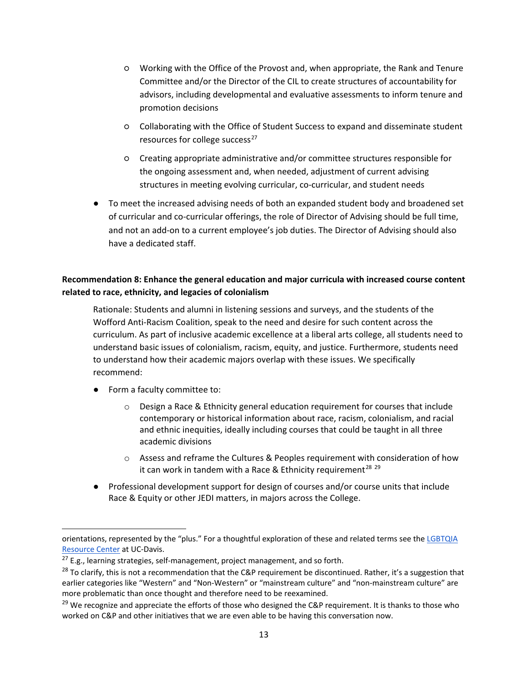- Working with the Office of the Provost and, when appropriate, the Rank and Tenure Committee and/or the Director of the CIL to create structures of accountability for advisors, including developmental and evaluative assessments to inform tenure and promotion decisions
- Collaborating with the Office of Student Success to expand and disseminate student resources for college success $^{27}$  $^{27}$  $^{27}$
- Creating appropriate administrative and/or committee structures responsible for the ongoing assessment and, when needed, adjustment of current advising structures in meeting evolving curricular, co-curricular, and student needs
- To meet the increased advising needs of both an expanded student body and broadened set of curricular and co-curricular offerings, the role of Director of Advising should be full time, and not an add-on to a current employee's job duties. The Director of Advising should also have a dedicated staff.

## <span id="page-12-0"></span>**Recommendation 8: Enhance the general education and major curricula with increased course content related to race, ethnicity, and legacies of colonialism**

Rationale: Students and alumni in listening sessions and surveys, and the students of the Wofford Anti-Racism Coalition, speak to the need and desire for such content across the curriculum. As part of inclusive academic excellence at a liberal arts college, all students need to understand basic issues of colonialism, racism, equity, and justice. Furthermore, students need to understand how their academic majors overlap with these issues. We specifically recommend:

● Form a faculty committee to:

- o Design a Race & Ethnicity general education requirement for courses that include contemporary or historical information about race, racism, colonialism, and racial and ethnic inequities, ideally including courses that could be taught in all three academic divisions
- o Assess and reframe the Cultures & Peoples requirement with consideration of how it can work in tandem with a Race & Ethnicity requirement<sup>[28](#page-12-2)</sup>  $29$
- Professional development support for design of courses and/or course units that include Race & Equity or other JEDI matters, in majors across the College.

orientations, represented by the "plus." For a thoughtful exploration of these and related terms see the [LGBTQIA](https://lgbtqia.ucdavis.edu/educated/glossary)  [Resource Center](https://lgbtqia.ucdavis.edu/educated/glossary) at UC-Davis.

<span id="page-12-1"></span> $27$  E.g., learning strategies, self-management, project management, and so forth.

<span id="page-12-2"></span><sup>&</sup>lt;sup>28</sup> To clarify, this is not a recommendation that the C&P requirement be discontinued. Rather, it's a suggestion that earlier categories like "Western" and "Non-Western" or "mainstream culture" and "non-mainstream culture" are more problematic than once thought and therefore need to be reexamined.

<span id="page-12-3"></span> $29$  We recognize and appreciate the efforts of those who designed the C&P requirement. It is thanks to those who worked on C&P and other initiatives that we are even able to be having this conversation now.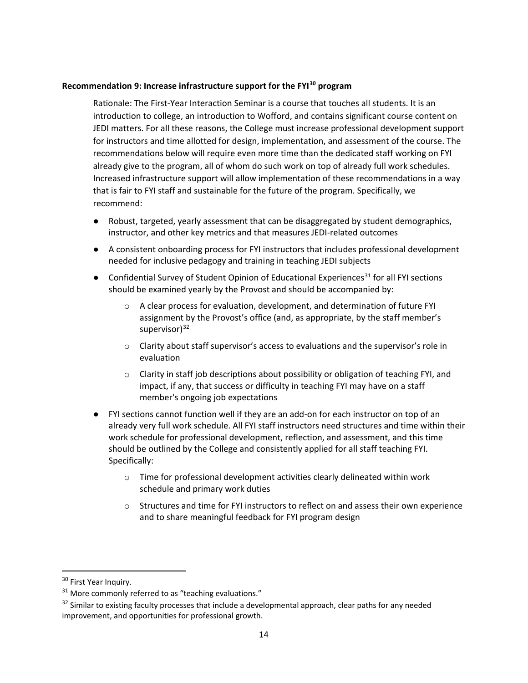### <span id="page-13-0"></span>**Recommendation 9: Increase infrastructure support for the FYI[30](#page-13-1) program**

Rationale: The First-Year Interaction Seminar is a course that touches all students. It is an introduction to college, an introduction to Wofford, and contains significant course content on JEDI matters. For all these reasons, the College must increase professional development support for instructors and time allotted for design, implementation, and assessment of the course. The recommendations below will require even more time than the dedicated staff working on FYI already give to the program, all of whom do such work on top of already full work schedules. Increased infrastructure support will allow implementation of these recommendations in a way that is fair to FYI staff and sustainable for the future of the program. Specifically, we recommend:

- Robust, targeted, yearly assessment that can be disaggregated by student demographics, instructor, and other key metrics and that measures JEDI-related outcomes
- A consistent onboarding process for FYI instructors that includes professional development needed for inclusive pedagogy and training in teaching JEDI subjects
- Confidential Survey of Student Opinion of Educational Experiences<sup>[31](#page-13-2)</sup> for all FYI sections should be examined yearly by the Provost and should be accompanied by:
	- $\circ$  A clear process for evaluation, development, and determination of future FYI assignment by the Provost's office (and, as appropriate, by the staff member's supervisor)<sup>[32](#page-13-3)</sup>
	- o Clarity about staff supervisor's access to evaluations and the supervisor's role in evaluation
	- $\circ$  Clarity in staff job descriptions about possibility or obligation of teaching FYI, and impact, if any, that success or difficulty in teaching FYI may have on a staff member's ongoing job expectations
- FYI sections cannot function well if they are an add-on for each instructor on top of an already very full work schedule. All FYI staff instructors need structures and time within their work schedule for professional development, reflection, and assessment, and this time should be outlined by the College and consistently applied for all staff teaching FYI. Specifically:
	- $\circ$  Time for professional development activities clearly delineated within work schedule and primary work duties
	- $\circ$  Structures and time for FYI instructors to reflect on and assess their own experience and to share meaningful feedback for FYI program design

<span id="page-13-1"></span><sup>&</sup>lt;sup>30</sup> First Year Inquiry.

<span id="page-13-2"></span> $31$  More commonly referred to as "teaching evaluations."

<span id="page-13-3"></span><sup>&</sup>lt;sup>32</sup> Similar to existing faculty processes that include a developmental approach, clear paths for any needed improvement, and opportunities for professional growth.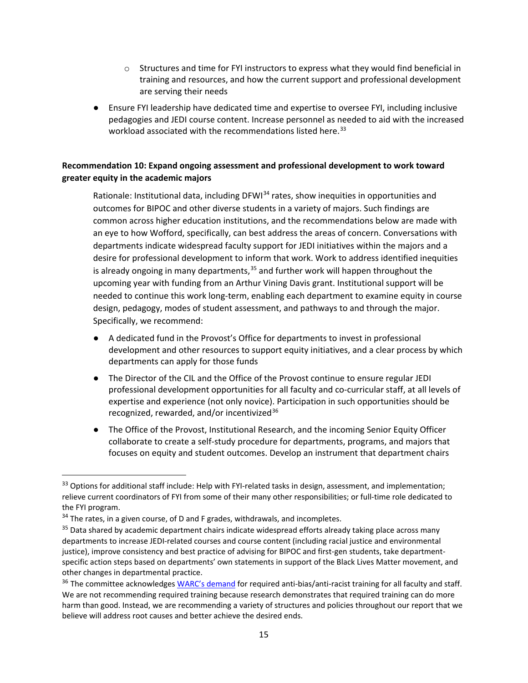- o Structures and time for FYI instructors to express what they would find beneficial in training and resources, and how the current support and professional development are serving their needs
- Ensure FYI leadership have dedicated time and expertise to oversee FYI, including inclusive pedagogies and JEDI course content. Increase personnel as needed to aid with the increased workload associated with the recommendations listed here.<sup>[33](#page-14-1)</sup>

## <span id="page-14-0"></span>**Recommendation 10: Expand ongoing assessment and professional development to work toward greater equity in the academic majors**

Rationale: Institutional data, including DFWI<sup>[34](#page-14-2)</sup> rates, show inequities in opportunities and outcomes for BIPOC and other diverse students in a variety of majors. Such findings are common across higher education institutions, and the recommendations below are made with an eye to how Wofford, specifically, can best address the areas of concern. Conversations with departments indicate widespread faculty support for JEDI initiatives within the majors and a desire for professional development to inform that work. Work to address identified inequities is already ongoing in many departments,  $35$  and further work will happen throughout the upcoming year with funding from an Arthur Vining Davis grant. Institutional support will be needed to continue this work long-term, enabling each department to examine equity in course design, pedagogy, modes of student assessment, and pathways to and through the major. Specifically, we recommend:

- A dedicated fund in the Provost's Office for departments to invest in professional development and other resources to support equity initiatives, and a clear process by which departments can apply for those funds
- The Director of the CIL and the Office of the Provost continue to ensure regular JEDI professional development opportunities for all faculty and co-curricular staff, at all levels of expertise and experience (not only novice). Participation in such opportunities should be recognized, rewarded, and/or incentivized<sup>[36](#page-14-4)</sup>
- The Office of the Provost, Institutional Research, and the incoming Senior Equity Officer collaborate to create a self-study procedure for departments, programs, and majors that focuses on equity and student outcomes. Develop an instrument that department chairs

<span id="page-14-1"></span><sup>&</sup>lt;sup>33</sup> Options for additional staff include: Help with FYI-related tasks in design, assessment, and implementation; relieve current coordinators of FYI from some of their many other responsibilities; or full-time role dedicated to the FYI program.

<span id="page-14-2"></span> $34$  The rates, in a given course, of D and F grades, withdrawals, and incompletes.

<span id="page-14-3"></span><sup>&</sup>lt;sup>35</sup> Data shared by academic department chairs indicate widespread efforts already taking place across many departments to increase JEDI-related courses and course content (including racial justice and environmental justice), improve consistency and best practice of advising for BIPOC and first-gen students, take departmentspecific action steps based on departments' own statements in support of the Black Lives Matter movement, and other changes in departmental practice.

<span id="page-14-4"></span><sup>&</sup>lt;sup>36</sup> The committee acknowledge[s WARC's demand](https://woffordcoalition.blogspot.com/2020/10/updated-demands.html) for required anti-bias/anti-racist training for all faculty and staff. We are not recommending required training because research demonstrates that required training can do more harm than good. Instead, we are recommending a variety of structures and policies throughout our report that we believe will address root causes and better achieve the desired ends.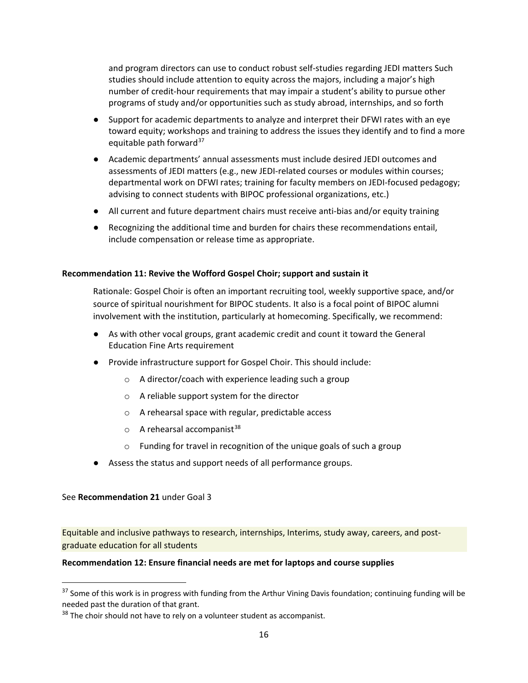and program directors can use to conduct robust self-studies regarding JEDI matters Such studies should include attention to equity across the majors, including a major's high number of credit-hour requirements that may impair a student's ability to pursue other programs of study and/or opportunities such as study abroad, internships, and so forth

- Support for academic departments to analyze and interpret their DFWI rates with an eye toward equity; workshops and training to address the issues they identify and to find a more equitable path forward $37$
- Academic departments' annual assessments must include desired JEDI outcomes and assessments of JEDI matters (e.g., new JEDI-related courses or modules within courses; departmental work on DFWI rates; training for faculty members on JEDI-focused pedagogy; advising to connect students with BIPOC professional organizations, etc.)
- All current and future department chairs must receive anti-bias and/or equity training
- Recognizing the additional time and burden for chairs these recommendations entail, include compensation or release time as appropriate.

### <span id="page-15-0"></span>**Recommendation 11: Revive the Wofford Gospel Choir; support and sustain it**

Rationale: Gospel Choir is often an important recruiting tool, weekly supportive space, and/or source of spiritual nourishment for BIPOC students. It also is a focal point of BIPOC alumni involvement with the institution, particularly at homecoming. Specifically, we recommend:

- As with other vocal groups, grant academic credit and count it toward the General Education Fine Arts requirement
- Provide infrastructure support for Gospel Choir. This should include:
	- o A director/coach with experience leading such a group
	- o A reliable support system for the director
	- o A rehearsal space with regular, predictable access
	- $\circ$  A rehearsal accompanist<sup>[38](#page-15-3)</sup>
	- o Funding for travel in recognition of the unique goals of such a group
- Assess the status and support needs of all performance groups.

### See **Recommendation 21** under Goal 3

 $\overline{a}$ 

Equitable and inclusive pathways to research, internships, Interims, study away, careers, and postgraduate education for all students

### <span id="page-15-1"></span>**Recommendation 12: Ensure financial needs are met for laptops and course supplies**

<span id="page-15-2"></span> $37$  Some of this work is in progress with funding from the Arthur Vining Davis foundation; continuing funding will be needed past the duration of that grant.

<span id="page-15-3"></span> $38$  The choir should not have to rely on a volunteer student as accompanist.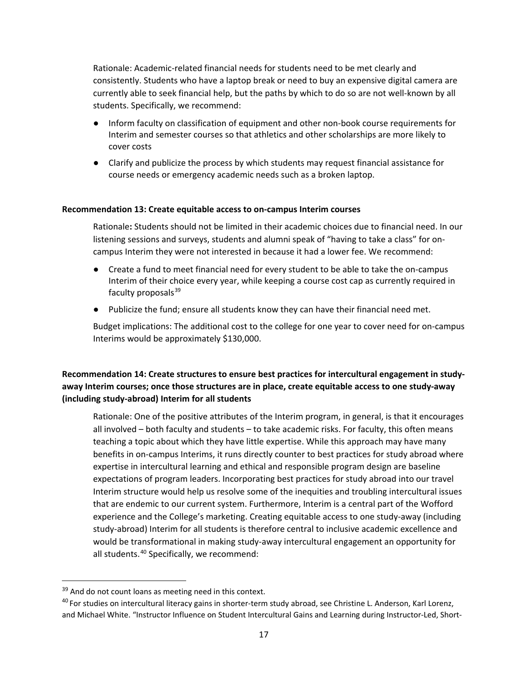Rationale: Academic-related financial needs for students need to be met clearly and consistently. Students who have a laptop break or need to buy an expensive digital camera are currently able to seek financial help, but the paths by which to do so are not well-known by all students. Specifically, we recommend:

- Inform faculty on classification of equipment and other non-book course requirements for Interim and semester courses so that athletics and other scholarships are more likely to cover costs
- Clarify and publicize the process by which students may request financial assistance for course needs or emergency academic needs such as a broken laptop.

#### <span id="page-16-0"></span>**Recommendation 13: Create equitable access to on-campus Interim courses**

Rationale**:** Students should not be limited in their academic choices due to financial need. In our listening sessions and surveys, students and alumni speak of "having to take a class" for oncampus Interim they were not interested in because it had a lower fee. We recommend:

- Create a fund to meet financial need for every student to be able to take the on-campus Interim of their choice every year, while keeping a course cost cap as currently required in faculty proposals $39$
- Publicize the fund; ensure all students know they can have their financial need met.

Budget implications: The additional cost to the college for one year to cover need for on-campus Interims would be approximately \$130,000.

<span id="page-16-1"></span>**Recommendation 14: Create structures to ensure best practices for intercultural engagement in studyaway Interim courses; once those structures are in place, create equitable access to one study-away (including study-abroad) Interim for all students**

Rationale: One of the positive attributes of the Interim program, in general, is that it encourages all involved – both faculty and students – to take academic risks. For faculty, this often means teaching a topic about which they have little expertise. While this approach may have many benefits in on-campus Interims, it runs directly counter to best practices for study abroad where expertise in intercultural learning and ethical and responsible program design are baseline expectations of program leaders. Incorporating best practices for study abroad into our travel Interim structure would help us resolve some of the inequities and troubling intercultural issues that are endemic to our current system. Furthermore, Interim is a central part of the Wofford experience and the College's marketing. Creating equitable access to one study-away (including study-abroad) Interim for all students is therefore central to inclusive academic excellence and would be transformational in making study-away intercultural engagement an opportunity for all students.<sup>[40](#page-16-3)</sup> Specifically, we recommend:

<span id="page-16-2"></span><sup>&</sup>lt;sup>39</sup> And do not count loans as meeting need in this context.

<span id="page-16-3"></span><sup>&</sup>lt;sup>40</sup> For studies on intercultural literacy gains in shorter-term study abroad, see Christine L. Anderson, Karl Lorenz, and Michael White. "Instructor Influence on Student Intercultural Gains and Learning during Instructor-Led, Short-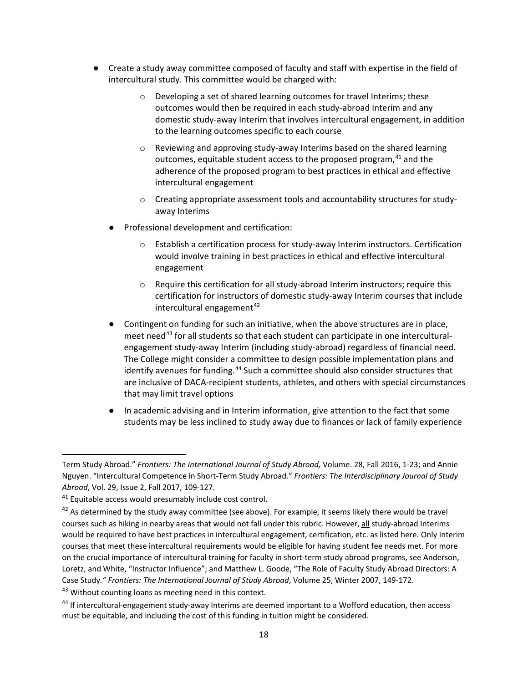- Create a study away committee composed of faculty and staff with expertise in the field of intercultural study. This committee would be charged with:
	- o Developing a set of shared learning outcomes for travel Interims; these outcomes would then be required in each study-abroad Interim and any domestic study-away Interim that involves intercultural engagement, in addition to the learning outcomes specific to each course
	- $\circ$  Reviewing and approving study-away Interims based on the shared learning outcomes, equitable student access to the proposed program,  $41$  and the adherence of the proposed program to best practices in ethical and effective intercultural engagement
	- o Creating appropriate assessment tools and accountability structures for studyaway Interims
	- Professional development and certification:
		- o Establish a certification process for study-away Interim instructors. Certification would involve training in best practices in ethical and effective intercultural engagement
		- o Require this certification for all study-abroad Interim instructors; require this certification for instructors of domestic study-away Interim courses that include intercultural engagement $42$
	- Contingent on funding for such an initiative, when the above structures are in place, meet need<sup>[43](#page-17-2)</sup> for all students so that each student can participate in one interculturalengagement study-away Interim (including study-abroad) regardless of financial need. The College might consider a committee to design possible implementation plans and identify avenues for funding.<sup>[44](#page-17-3)</sup> Such a committee should also consider structures that are inclusive of DACA-recipient students, athletes, and others with special circumstances that may limit travel options
	- In academic advising and in Interim information, give attention to the fact that some students may be less inclined to study away due to finances or lack of family experience

Term Study Abroad." *Frontiers: The International Journal of Study Abroad,* Volume. 28, Fall 2016, 1-23; and Annie Nguyen. "Intercultural Competence in Short-Term Study Abroad." *Frontiers: The Interdisciplinary Journal of Study Abroad*, Vol. 29, Issue 2, Fall 2017, 109-127.

<span id="page-17-0"></span><sup>&</sup>lt;sup>41</sup> Equitable access would presumably include cost control.

<span id="page-17-1"></span> $42$  As determined by the study away committee (see above). For example, it seems likely there would be travel courses such as hiking in nearby areas that would not fall under this rubric. However, all study-abroad Interims would be required to have best practices in intercultural engagement, certification, etc. as listed here. Only Interim courses that meet these intercultural requirements would be eligible for having student fee needs met. For more on the crucial importance of intercultural training for faculty in short-term study abroad programs, see Anderson, Loretz, and White, "Instructor Influence"; and Matthew L. Goode, "The Role of Faculty Study Abroad Directors: A Case Study*." Frontiers: The International Journal of Study Abroad*, Volume 25, Winter 2007, 149-172. <sup>43</sup> Without counting loans as meeting need in this context.

<span id="page-17-3"></span><span id="page-17-2"></span><sup>44</sup> If intercultural-engagement study-away Interims are deemed important to a Wofford education, then access must be equitable, and including the cost of this funding in tuition might be considered.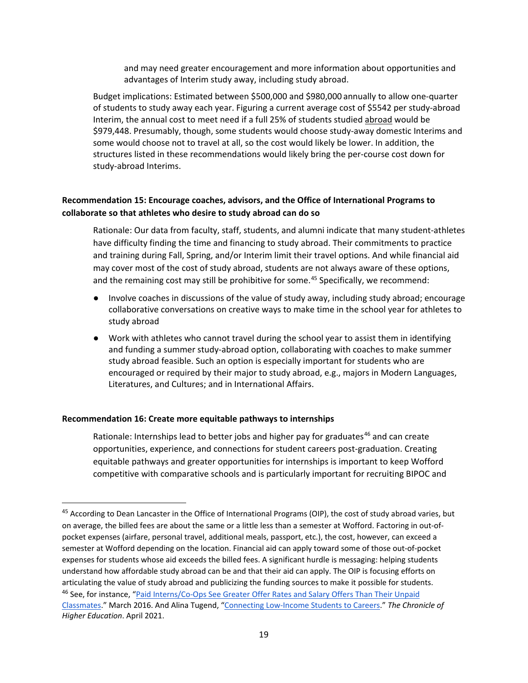and may need greater encouragement and more information about opportunities and advantages of Interim study away, including study abroad.

Budget implications: Estimated between \$500,000 and \$980,000 annually to allow one-quarter of students to study away each year. Figuring a current average cost of \$5542 per study-abroad Interim, the annual cost to meet need if a full 25% of students studied abroad would be \$979,448. Presumably, though, some students would choose study-away domestic Interims and some would choose not to travel at all, so the cost would likely be lower. In addition, the structures listed in these recommendations would likely bring the per-course cost down for study-abroad Interims.

## <span id="page-18-0"></span>**Recommendation 15: Encourage coaches, advisors, and the Office of International Programs to collaborate so that athletes who desire to study abroad can do so**

Rationale: Our data from faculty, staff, students, and alumni indicate that many student-athletes have difficulty finding the time and financing to study abroad. Their commitments to practice and training during Fall, Spring, and/or Interim limit their travel options. And while financial aid may cover most of the cost of study abroad, students are not always aware of these options, and the remaining cost may still be prohibitive for some.<sup>[45](#page-18-2)</sup> Specifically, we recommend:

- Involve coaches in discussions of the value of study away, including study abroad; encourage collaborative conversations on creative ways to make time in the school year for athletes to study abroad
- Work with athletes who cannot travel during the school year to assist them in identifying and funding a summer study-abroad option, collaborating with coaches to make summer study abroad feasible. Such an option is especially important for students who are encouraged or required by their major to study abroad, e.g., majors in Modern Languages, Literatures, and Cultures; and in International Affairs.

### <span id="page-18-1"></span>**Recommendation 16: Create more equitable pathways to internships**

 $\overline{\phantom{a}}$ 

Rationale: Internships lead to better jobs and higher pay for graduates<sup>[46](#page-18-3)</sup> and can create opportunities, experience, and connections for student careers post-graduation. Creating equitable pathways and greater opportunities for internships is important to keep Wofford competitive with comparative schools and is particularly important for recruiting BIPOC and

<span id="page-18-3"></span><span id="page-18-2"></span><sup>&</sup>lt;sup>45</sup> According to Dean Lancaster in the Office of International Programs (OIP), the cost of study abroad varies, but on average, the billed fees are about the same or a little less than a semester at Wofford. Factoring in out-ofpocket expenses (airfare, personal travel, additional meals, passport, etc.), the cost, however, can exceed a semester at Wofford depending on the location. Financial aid can apply toward some of those out-of-pocket expenses for students whose aid exceeds the billed fees. A significant hurdle is messaging: helping students understand how affordable study abroad can be and that their aid can apply. The OIP is focusing efforts on articulating the value of study abroad and publicizing the funding sources to make it possible for students. <sup>46</sup> See, for instance, "Paid Interns/Co-Ops See Greater Offer Rates and Salary Offers Than Their Unpaid [Classmates."](https://www.naceweb.org/job-market/internships/paid-interns-co-ops-see-greater-offer-rates-and-salary-offers-than-their-unpaid-classmates/) March 2016. And Alina Tugend, ["Connecting Low-Income Students to Careers.](https://info.chronicle.com/OTMxLUVLQS0yMTgAAAF8TLcW84MGVrGmD0emKlTfU-oyohnH8nW5MAfn_PruaEFxC46vsZb2cqcPfp_R4DeoCaIG7p8=)" *The Chronicle of Higher Education*. April 2021.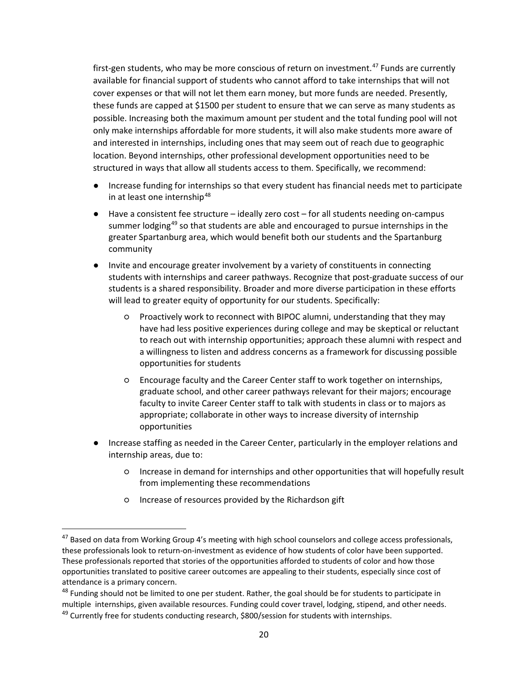first-gen students, who may be more conscious of return on investment.<sup>[47](#page-19-0)</sup> Funds are currently available for financial support of students who cannot afford to take internships that will not cover expenses or that will not let them earn money, but more funds are needed. Presently, these funds are capped at \$1500 per student to ensure that we can serve as many students as possible. Increasing both the maximum amount per student and the total funding pool will not only make internships affordable for more students, it will also make students more aware of and interested in internships, including ones that may seem out of reach due to geographic location. Beyond internships, other professional development opportunities need to be structured in ways that allow all students access to them. Specifically, we recommend:

- Increase funding for internships so that every student has financial needs met to participate in at least one internship<sup>[48](#page-19-1)</sup>
- Have a consistent fee structure ideally zero cost for all students needing on-campus summer lodging<sup>[49](#page-19-2)</sup> so that students are able and encouraged to pursue internships in the greater Spartanburg area, which would benefit both our students and the Spartanburg community
- Invite and encourage greater involvement by a variety of constituents in connecting students with internships and career pathways. Recognize that post-graduate success of our students is a shared responsibility. Broader and more diverse participation in these efforts will lead to greater equity of opportunity for our students. Specifically:
	- Proactively work to reconnect with BIPOC alumni, understanding that they may have had less positive experiences during college and may be skeptical or reluctant to reach out with internship opportunities; approach these alumni with respect and a willingness to listen and address concerns as a framework for discussing possible opportunities for students
	- Encourage faculty and the Career Center staff to work together on internships, graduate school, and other career pathways relevant for their majors; encourage faculty to invite Career Center staff to talk with students in class or to majors as appropriate; collaborate in other ways to increase diversity of internship opportunities
- Increase staffing as needed in the Career Center, particularly in the employer relations and internship areas, due to:
	- Increase in demand for internships and other opportunities that will hopefully result from implementing these recommendations
	- Increase of resources provided by the Richardson gift

<span id="page-19-0"></span><sup>&</sup>lt;sup>47</sup> Based on data from Working Group 4's meeting with high school counselors and college access professionals, these professionals look to return-on-investment as evidence of how students of color have been supported. These professionals reported that stories of the opportunities afforded to students of color and how those opportunities translated to positive career outcomes are appealing to their students, especially since cost of attendance is a primary concern.

<span id="page-19-2"></span><span id="page-19-1"></span><sup>&</sup>lt;sup>48</sup> Funding should not be limited to one per student. Rather, the goal should be for students to participate in multiple internships, given available resources. Funding could cover travel, lodging, stipend, and other needs.  $49$  Currently free for students conducting research, \$800/session for students with internships.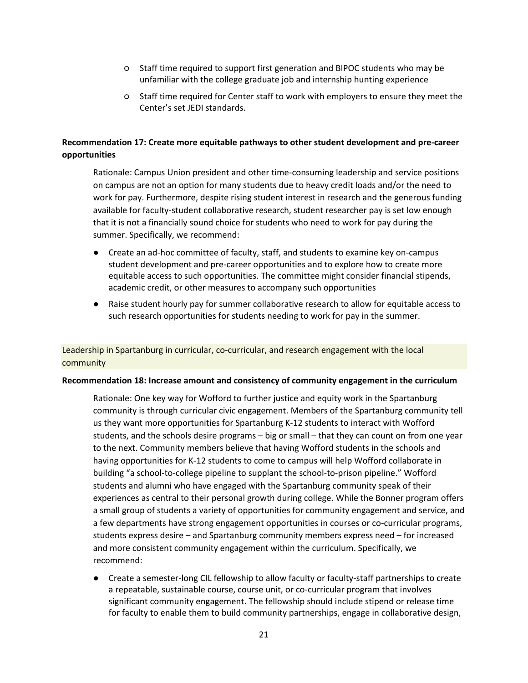- Staff time required to support first generation and BIPOC students who may be unfamiliar with the college graduate job and internship hunting experience
- Staff time required for Center staff to work with employers to ensure they meet the Center's set JEDI standards.

## <span id="page-20-0"></span>**Recommendation 17: Create more equitable pathways to other student development and pre-career opportunities**

Rationale: Campus Union president and other time-consuming leadership and service positions on campus are not an option for many students due to heavy credit loads and/or the need to work for pay. Furthermore, despite rising student interest in research and the generous funding available for faculty-student collaborative research, student researcher pay is set low enough that it is not a financially sound choice for students who need to work for pay during the summer. Specifically, we recommend:

- Create an ad-hoc committee of faculty, staff, and students to examine key on-campus student development and pre-career opportunities and to explore how to create more equitable access to such opportunities. The committee might consider financial stipends, academic credit, or other measures to accompany such opportunities
- Raise student hourly pay for summer collaborative research to allow for equitable access to such research opportunities for students needing to work for pay in the summer.

Leadership in Spartanburg in curricular, co-curricular, and research engagement with the local community

#### <span id="page-20-1"></span>**Recommendation 18: Increase amount and consistency of community engagement in the curriculum**

Rationale: One key way for Wofford to further justice and equity work in the Spartanburg community is through curricular civic engagement. Members of the Spartanburg community tell us they want more opportunities for Spartanburg K-12 students to interact with Wofford students, and the schools desire programs – big or small – that they can count on from one year to the next. Community members believe that having Wofford students in the schools and having opportunities for K-12 students to come to campus will help Wofford collaborate in building "a school-to-college pipeline to supplant the school-to-prison pipeline." Wofford students and alumni who have engaged with the Spartanburg community speak of their experiences as central to their personal growth during college. While the Bonner program offers a small group of students a variety of opportunities for community engagement and service, and a few departments have strong engagement opportunities in courses or co-curricular programs, students express desire – and Spartanburg community members express need – for increased and more consistent community engagement within the curriculum. Specifically, we recommend:

● Create a semester-long CIL fellowship to allow faculty or faculty-staff partnerships to create a repeatable, sustainable course, course unit, or co-curricular program that involves significant community engagement. The fellowship should include stipend or release time for faculty to enable them to build community partnerships, engage in collaborative design,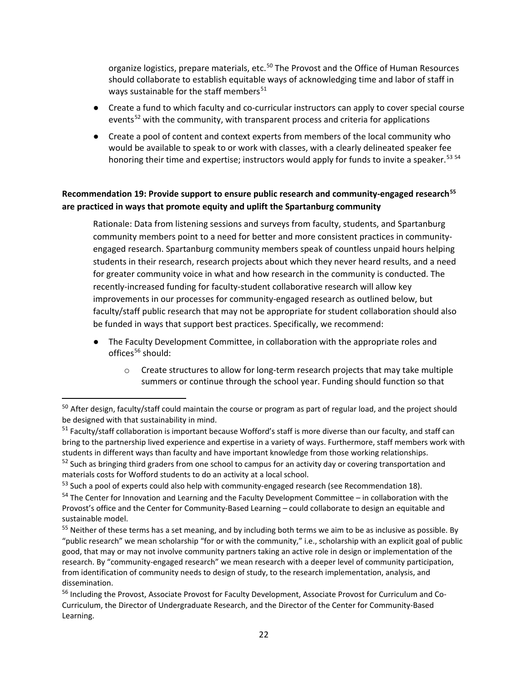organize logistics, prepare materials, etc.<sup>[50](#page-21-1)</sup> The Provost and the Office of Human Resources should collaborate to establish equitable ways of acknowledging time and labor of staff in ways sustainable for the staff members<sup>[51](#page-21-2)</sup>

- Create a fund to which faculty and co-curricular instructors can apply to cover special course events<sup>[52](#page-21-3)</sup> with the community, with transparent process and criteria for applications
- Create a pool of content and context experts from members of the local community who would be available to speak to or work with classes, with a clearly delineated speaker fee honoring their time and expertise; instructors would apply for funds to invite a speaker.<sup>[53](#page-21-4) [54](#page-21-5)</sup>

## <span id="page-21-0"></span>**Recommendation 19: Provide support to ensure public research and community-engaged research[55](#page-21-6) are practiced in ways that promote equity and uplift the Spartanburg community**

Rationale: Data from listening sessions and surveys from faculty, students, and Spartanburg community members point to a need for better and more consistent practices in communityengaged research. Spartanburg community members speak of countless unpaid hours helping students in their research, research projects about which they never heard results, and a need for greater community voice in what and how research in the community is conducted. The recently-increased funding for faculty-student collaborative research will allow key improvements in our processes for community-engaged research as outlined below, but faculty/staff public research that may not be appropriate for student collaboration should also be funded in ways that support best practices. Specifically, we recommend:

- The Faculty Development Committee, in collaboration with the appropriate roles and offices $56$  should:
	- o Create structures to allow for long-term research projects that may take multiple summers or continue through the school year. Funding should function so that

l

<span id="page-21-1"></span> $50$  After design, faculty/staff could maintain the course or program as part of regular load, and the project should be designed with that sustainability in mind.

<span id="page-21-2"></span><sup>&</sup>lt;sup>51</sup> Faculty/staff collaboration is important because Wofford's staff is more diverse than our faculty, and staff can bring to the partnership lived experience and expertise in a variety of ways. Furthermore, staff members work with students in different ways than faculty and have important knowledge from those working relationships.

<span id="page-21-3"></span><sup>&</sup>lt;sup>52</sup> Such as bringing third graders from one school to campus for an activity day or covering transportation and materials costs for Wofford students to do an activity at a local school.

<span id="page-21-4"></span><sup>&</sup>lt;sup>53</sup> Such a pool of experts could also help with community-engaged research (see Recommendation 18).<br><sup>54</sup> The Center for Innovation and Learning and the Faculty Development Committee – in collaboration with the

<span id="page-21-5"></span>Provost's office and the Center for Community-Based Learning – could collaborate to design an equitable and sustainable model.

<span id="page-21-6"></span> $55$  Neither of these terms has a set meaning, and by including both terms we aim to be as inclusive as possible. By "public research" we mean scholarship "for or with the community," i.e., scholarship with an explicit goal of public good, that may or may not involve community partners taking an active role in design or implementation of the research. By "community-engaged research" we mean research with a deeper level of community participation, from identification of community needs to design of study, to the research implementation, analysis, and dissemination.

<span id="page-21-7"></span><sup>56</sup> Including the Provost, Associate Provost for Faculty Development, Associate Provost for Curriculum and Co-Curriculum, the Director of Undergraduate Research, and the Director of the Center for Community-Based Learning.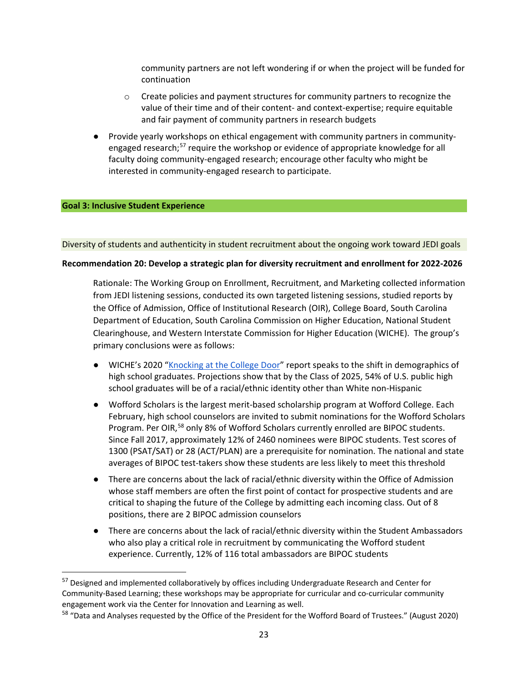community partners are not left wondering if or when the project will be funded for continuation

- $\circ$  Create policies and payment structures for community partners to recognize the value of their time and of their content- and context-expertise; require equitable and fair payment of community partners in research budgets
- Provide yearly workshops on ethical engagement with community partners in community-engaged research;<sup>[57](#page-22-1)</sup> require the workshop or evidence of appropriate knowledge for all faculty doing community-engaged research; encourage other faculty who might be interested in community-engaged research to participate.

#### **Goal 3: Inclusive Student Experience**

 $\overline{\phantom{a}}$ 

#### Diversity of students and authenticity in student recruitment about the ongoing work toward JEDI goals

#### <span id="page-22-0"></span>**Recommendation 20: Develop a strategic plan for diversity recruitment and enrollment for 2022-2026**

Rationale: The Working Group on Enrollment, Recruitment, and Marketing collected information from JEDI listening sessions, conducted its own targeted listening sessions, studied reports by the Office of Admission, Office of Institutional Research (OIR), College Board, South Carolina Department of Education, South Carolina Commission on Higher Education, National Student Clearinghouse, and Western Interstate Commission for Higher Education (WICHE). The group's primary conclusions were as follows:

- WICHE's 2020 ["Knocking at the College Door"](https://knocking.wiche.edu/wp-content/uploads/sites/10/2020/12/Knocking-pdf-for-website.pdf) report speaks to the shift in demographics of high school graduates. Projections show that by the Class of 2025, 54% of U.S. public high school graduates will be of a racial/ethnic identity other than White non-Hispanic
- Wofford Scholars is the largest merit-based scholarship program at Wofford College. Each February, high school counselors are invited to submit nominations for the Wofford Scholars Program. Per OIR,<sup>[58](#page-22-2)</sup> only 8% of Wofford Scholars currently enrolled are BIPOC students. Since Fall 2017, approximately 12% of 2460 nominees were BIPOC students. Test scores of 1300 (PSAT/SAT) or 28 (ACT/PLAN) are a prerequisite for nomination. The national and state averages of BIPOC test-takers show these students are less likely to meet this threshold
- There are concerns about the lack of racial/ethnic diversity within the Office of Admission whose staff members are often the first point of contact for prospective students and are critical to shaping the future of the College by admitting each incoming class. Out of 8 positions, there are 2 BIPOC admission counselors
- There are concerns about the lack of racial/ethnic diversity within the Student Ambassadors who also play a critical role in recruitment by communicating the Wofford student experience. Currently, 12% of 116 total ambassadors are BIPOC students

<span id="page-22-1"></span><sup>&</sup>lt;sup>57</sup> Designed and implemented collaboratively by offices including Undergraduate Research and Center for Community-Based Learning; these workshops may be appropriate for curricular and co-curricular community engagement work via the Center for Innovation and Learning as well.

<span id="page-22-2"></span><sup>58</sup> "Data and Analyses requested by the Office of the President for the Wofford Board of Trustees." (August 2020)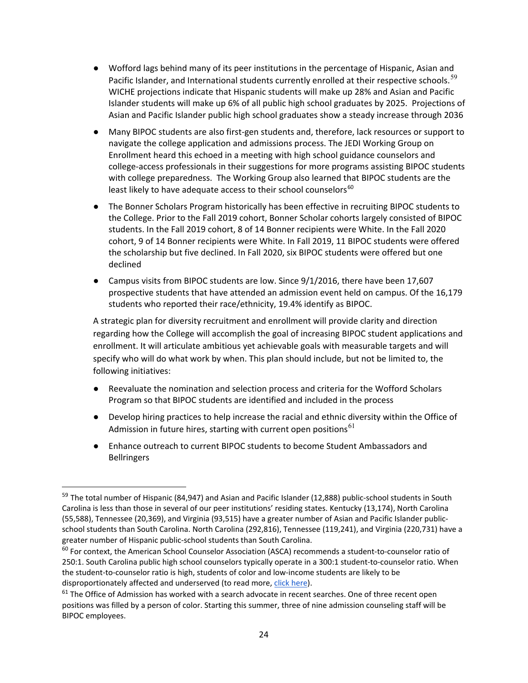- Wofford lags behind many of its peer institutions in the percentage of Hispanic, Asian and Pacific Islander, and International students currently enrolled at their respective schools.<sup>[59](#page-23-0)</sup> WICHE projections indicate that Hispanic students will make up 28% and Asian and Pacific Islander students will make up 6% of all public high school graduates by 2025. Projections of Asian and Pacific Islander public high school graduates show a steady increase through 2036
- Many BIPOC students are also first-gen students and, therefore, lack resources or support to navigate the college application and admissions process. The JEDI Working Group on Enrollment heard this echoed in a meeting with high school guidance counselors and college-access professionals in their suggestions for more programs assisting BIPOC students with college preparedness. The Working Group also learned that BIPOC students are the least likely to have adequate access to their school counselors<sup>[60](#page-23-1)</sup>
- The Bonner Scholars Program historically has been effective in recruiting BIPOC students to the College. Prior to the Fall 2019 cohort, Bonner Scholar cohorts largely consisted of BIPOC students. In the Fall 2019 cohort, 8 of 14 Bonner recipients were White. In the Fall 2020 cohort, 9 of 14 Bonner recipients were White. In Fall 2019, 11 BIPOC students were offered the scholarship but five declined. In Fall 2020, six BIPOC students were offered but one declined
- Campus visits from BIPOC students are low. Since 9/1/2016, there have been 17,607 prospective students that have attended an admission event held on campus. Of the 16,179 students who reported their race/ethnicity, 19.4% identify as BIPOC.

A strategic plan for diversity recruitment and enrollment will provide clarity and direction regarding how the College will accomplish the goal of increasing BIPOC student applications and enrollment. It will articulate ambitious yet achievable goals with measurable targets and will specify who will do what work by when. This plan should include, but not be limited to, the following initiatives:

- Reevaluate the nomination and selection process and criteria for the Wofford Scholars Program so that BIPOC students are identified and included in the process
- Develop hiring practices to help increase the racial and ethnic diversity within the Office of Admission in future hires, starting with current open positions<sup>[61](#page-23-2)</sup>
- Enhance outreach to current BIPOC students to become Student Ambassadors and Bellringers

<span id="page-23-0"></span><sup>&</sup>lt;sup>59</sup> The total number of Hispanic (84,947) and Asian and Pacific Islander (12,888) public-school students in South Carolina is less than those in several of our peer institutions' residing states. Kentucky (13,174), North Carolina (55,588), Tennessee (20,369), and Virginia (93,515) have a greater number of Asian and Pacific Islander publicschool students than South Carolina. North Carolina (292,816), Tennessee (119,241), and Virginia (220,731) have a greater number of Hispanic public-school students than South Carolina.

<span id="page-23-1"></span><sup>&</sup>lt;sup>60</sup> For context, the American School Counselor Association (ASCA) recommends a student-to-counselor ratio of 250:1. South Carolina public high school counselors typically operate in a 300:1 student-to-counselor ratio. When the student-to-counselor ratio is high, students of color and low-income students are likely to be disproportionately affected and underserved (to read more, [click here\)](https://www.schoolcounselor.org/getmedia/b079d17d-6265-4166-a120-3b1f56077649/School-Counselors-Matter.pdf).

<span id="page-23-2"></span> $61$  The Office of Admission has worked with a search advocate in recent searches. One of three recent open positions was filled by a person of color. Starting this summer, three of nine admission counseling staff will be BIPOC employees.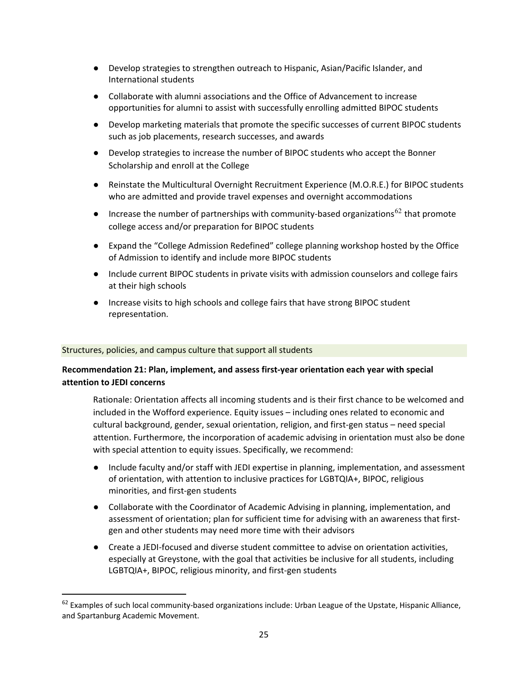- Develop strategies to strengthen outreach to Hispanic, Asian/Pacific Islander, and International students
- Collaborate with alumni associations and the Office of Advancement to increase opportunities for alumni to assist with successfully enrolling admitted BIPOC students
- Develop marketing materials that promote the specific successes of current BIPOC students such as job placements, research successes, and awards
- Develop strategies to increase the number of BIPOC students who accept the Bonner Scholarship and enroll at the College
- Reinstate the Multicultural Overnight Recruitment Experience (M.O.R.E.) for BIPOC students who are admitted and provide travel expenses and overnight accommodations
- Increase the number of partnerships with community-based organizations<sup>[62](#page-24-1)</sup> that promote college access and/or preparation for BIPOC students
- Expand the "College Admission Redefined" college planning workshop hosted by the Office of Admission to identify and include more BIPOC students
- Include current BIPOC students in private visits with admission counselors and college fairs at their high schools
- Increase visits to high schools and college fairs that have strong BIPOC student representation.

### Structures, policies, and campus culture that support all students

 $\overline{\phantom{a}}$ 

## <span id="page-24-0"></span>**Recommendation 21: Plan, implement, and assess first-year orientation each year with special attention to JEDI concerns**

Rationale: Orientation affects all incoming students and is their first chance to be welcomed and included in the Wofford experience. Equity issues – including ones related to economic and cultural background, gender, sexual orientation, religion, and first-gen status – need special attention. Furthermore, the incorporation of academic advising in orientation must also be done with special attention to equity issues. Specifically, we recommend:

- Include faculty and/or staff with JEDI expertise in planning, implementation, and assessment of orientation, with attention to inclusive practices for LGBTQIA+, BIPOC, religious minorities, and first-gen students
- Collaborate with the Coordinator of Academic Advising in planning, implementation, and assessment of orientation; plan for sufficient time for advising with an awareness that firstgen and other students may need more time with their advisors
- Create a JEDI-focused and diverse student committee to advise on orientation activities, especially at Greystone, with the goal that activities be inclusive for all students, including LGBTQIA+, BIPOC, religious minority, and first-gen students

<span id="page-24-1"></span> $62$  Examples of such local community-based organizations include: Urban League of the Upstate, Hispanic Alliance, and Spartanburg Academic Movement.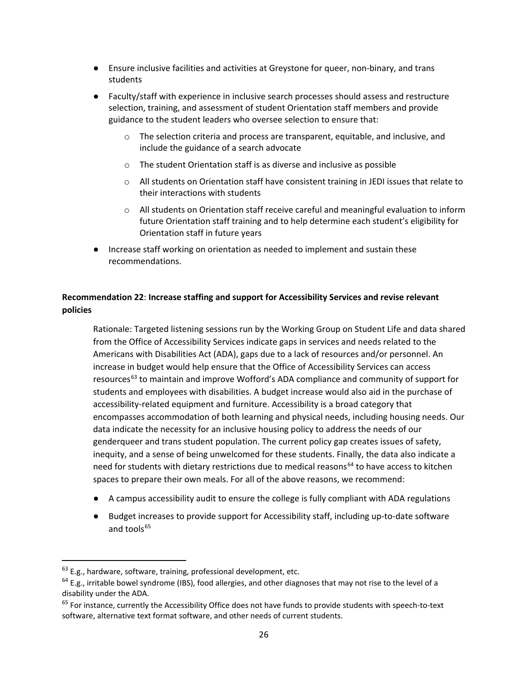- Ensure inclusive facilities and activities at Greystone for queer, non-binary, and trans students
- Faculty/staff with experience in inclusive search processes should assess and restructure selection, training, and assessment of student Orientation staff members and provide guidance to the student leaders who oversee selection to ensure that:
	- o The selection criteria and process are transparent, equitable, and inclusive, and include the guidance of a search advocate
	- o The student Orientation staff is as diverse and inclusive as possible
	- $\circ$  All students on Orientation staff have consistent training in JEDI issues that relate to their interactions with students
	- $\circ$  All students on Orientation staff receive careful and meaningful evaluation to inform future Orientation staff training and to help determine each student's eligibility for Orientation staff in future years
- Increase staff working on orientation as needed to implement and sustain these recommendations.

## <span id="page-25-0"></span>**Recommendation 22**: **Increase staffing and support for Accessibility Services and revise relevant policies**

Rationale: Targeted listening sessions run by the Working Group on Student Life and data shared from the Office of Accessibility Services indicate gaps in services and needs related to the Americans with Disabilities Act (ADA), gaps due to a lack of resources and/or personnel. An increase in budget would help ensure that the Office of Accessibility Services can access resources<sup>[63](#page-25-1)</sup> to maintain and improve Wofford's ADA compliance and community of support for students and employees with disabilities. A budget increase would also aid in the purchase of accessibility-related equipment and furniture. Accessibility is a broad category that encompasses accommodation of both learning and physical needs, including housing needs. Our data indicate the necessity for an inclusive housing policy to address the needs of our genderqueer and trans student population. The current policy gap creates issues of safety, inequity, and a sense of being unwelcomed for these students. Finally, the data also indicate a need for students with dietary restrictions due to medical reasons<sup>[64](#page-25-2)</sup> to have access to kitchen spaces to prepare their own meals. For all of the above reasons, we recommend:

- A campus accessibility audit to ensure the college is fully compliant with ADA regulations
- Budget increases to provide support for Accessibility staff, including up-to-date software and tools $65$

<span id="page-25-1"></span> $63$  E.g., hardware, software, training, professional development, etc.

<span id="page-25-2"></span> $64$  E.g., irritable bowel syndrome (IBS), food allergies, and other diagnoses that may not rise to the level of a disability under the ADA.

<span id="page-25-3"></span> $65$  For instance, currently the Accessibility Office does not have funds to provide students with speech-to-text software, alternative text format software, and other needs of current students.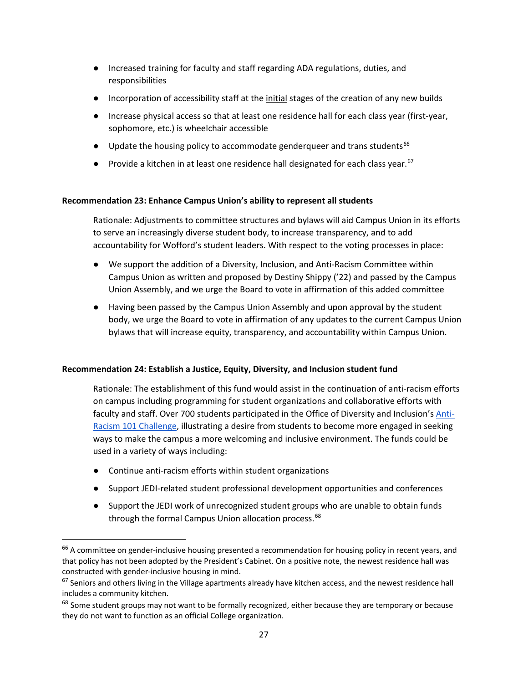- Increased training for faculty and staff regarding ADA regulations, duties, and responsibilities
- Incorporation of accessibility staff at the *initial* stages of the creation of any new builds
- Increase physical access so that at least one residence hall for each class year (first-year, sophomore, etc.) is wheelchair accessible
- $\bullet$  Update the housing policy to accommodate genderqueer and trans students<sup>[66](#page-26-2)</sup>
- Provide a kitchen in at least one residence hall designated for each class year.  $67$

### <span id="page-26-0"></span>**Recommendation 23: Enhance Campus Union's ability to represent all students**

Rationale: Adjustments to committee structures and bylaws will aid Campus Union in its efforts to serve an increasingly diverse student body, to increase transparency, and to add accountability for Wofford's student leaders. With respect to the voting processes in place:

- We support the addition of a Diversity, Inclusion, and Anti-Racism Committee within Campus Union as written and proposed by Destiny Shippy ('22) and passed by the Campus Union Assembly, and we urge the Board to vote in affirmation of this added committee
- Having been passed by the Campus Union Assembly and upon approval by the student body, we urge the Board to vote in affirmation of any updates to the current Campus Union bylaws that will increase equity, transparency, and accountability within Campus Union.

### <span id="page-26-1"></span>**Recommendation 24: Establish a Justice, Equity, Diversity, and Inclusion student fund**

Rationale: The establishment of this fund would assist in the continuation of anti-racism efforts on campus including programming for student organizations and collaborative efforts with faculty and staff. Over 700 students participated in the Office of Diversity and Inclusion's [Anti-](https://www.wofford.edu/about/diversity-equity-and-inclusion/office-of-diversity-and-inclusion)[Racism 101 Challenge,](https://www.wofford.edu/about/diversity-equity-and-inclusion/office-of-diversity-and-inclusion) illustrating a desire from students to become more engaged in seeking ways to make the campus a more welcoming and inclusive environment. The funds could be used in a variety of ways including:

● Continue anti-racism efforts within student organizations

- Support JEDI-related student professional development opportunities and conferences
- Support the JEDI work of unrecognized student groups who are unable to obtain funds through the formal Campus Union allocation process.<sup>[68](#page-26-4)</sup>

<span id="page-26-2"></span><sup>&</sup>lt;sup>66</sup> A committee on gender-inclusive housing presented a recommendation for housing policy in recent years, and that policy has not been adopted by the President's Cabinet. On a positive note, the newest residence hall was constructed with gender-inclusive housing in mind.<br><sup>67</sup> Seniors and others living in the Village apartments already have kitchen access, and the newest residence hall

<span id="page-26-3"></span>includes a community kitchen.

<span id="page-26-4"></span><sup>&</sup>lt;sup>68</sup> Some student groups may not want to be formally recognized, either because they are temporary or because they do not want to function as an official College organization.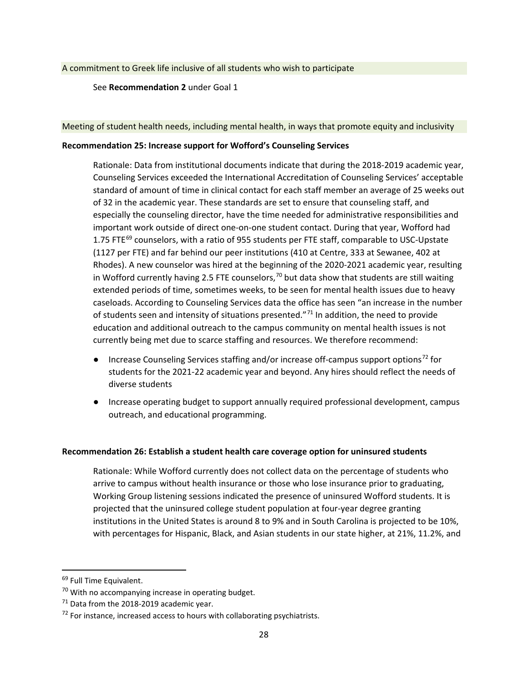See **[Recommendation 2](#page-7-0)** under Goal 1

#### Meeting of student health needs, including mental health, in ways that promote equity and inclusivity

#### <span id="page-27-0"></span>**Recommendation 25: Increase support for Wofford's Counseling Services**

Rationale: Data from institutional documents indicate that during the 2018-2019 academic year, Counseling Services exceeded the International Accreditation of Counseling Services' acceptable standard of amount of time in clinical contact for each staff member an average of 25 weeks out of 32 in the academic year. These standards are set to ensure that counseling staff, and especially the counseling director, have the time needed for administrative responsibilities and important work outside of direct one-on-one student contact. During that year, Wofford had 1.75 FTE $^{69}$  $^{69}$  $^{69}$  counselors, with a ratio of 955 students per FTE staff, comparable to USC-Upstate (1127 per FTE) and far behind our peer institutions (410 at Centre, 333 at Sewanee, 402 at Rhodes). A new counselor was hired at the beginning of the 2020-2021 academic year, resulting in Wofford currently having 2.5 FTE counselors,  $70$  but data show that students are still waiting extended periods of time, sometimes weeks, to be seen for mental health issues due to heavy caseloads. According to Counseling Services data the office has seen "an increase in the number of students seen and intensity of situations presented."<sup>[71](#page-27-4)</sup> In addition, the need to provide education and additional outreach to the campus community on mental health issues is not currently being met due to scarce staffing and resources. We therefore recommend:

- Increase Counseling Services staffing and/or increase off-campus support options<sup>[72](#page-27-5)</sup> for students for the 2021-22 academic year and beyond. Any hires should reflect the needs of diverse students
- Increase operating budget to support annually required professional development, campus outreach, and educational programming.

#### <span id="page-27-1"></span>**Recommendation 26: Establish a student health care coverage option for uninsured students**

Rationale: While Wofford currently does not collect data on the percentage of students who arrive to campus without health insurance or those who lose insurance prior to graduating, Working Group listening sessions indicated the presence of uninsured Wofford students. It is projected that the uninsured college student population at four-year degree granting institutions in the United States is around 8 to 9% and in South Carolina is projected to be 10%, with percentages for Hispanic, Black, and Asian students in our state higher, at 21%, 11.2%, and

<span id="page-27-2"></span><sup>&</sup>lt;sup>69</sup> Full Time Equivalent.

<span id="page-27-3"></span><sup>&</sup>lt;sup>70</sup> With no accompanying increase in operating budget.

<span id="page-27-4"></span><sup>&</sup>lt;sup>71</sup> Data from the 2018-2019 academic year.

<span id="page-27-5"></span> $72$  For instance, increased access to hours with collaborating psychiatrists.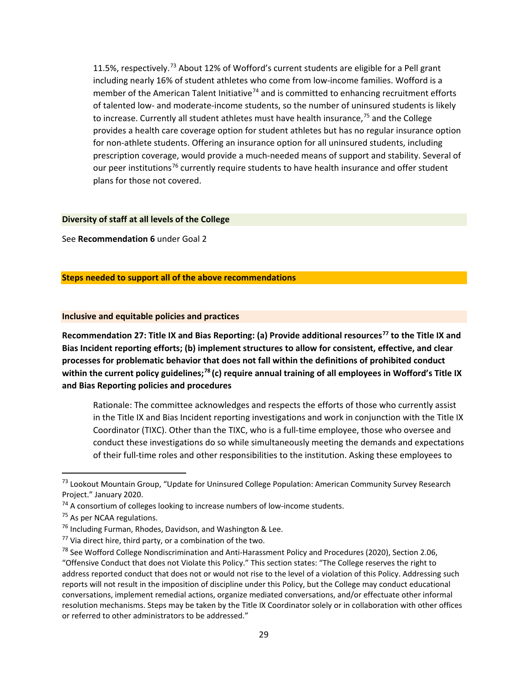11.5%, respectively.<sup>[73](#page-28-1)</sup> About 12% of Wofford's current students are eligible for a Pell grant including nearly 16% of student athletes who come from low-income families. Wofford is a member of the American Talent Initiative<sup>[74](#page-28-2)</sup> and is committed to enhancing recruitment efforts of talented low- and moderate-income students, so the number of uninsured students is likely to increase. Currently all student athletes must have health insurance,<sup>[75](#page-28-3)</sup> and the College provides a health care coverage option for student athletes but has no regular insurance option for non-athlete students. Offering an insurance option for all uninsured students, including prescription coverage, would provide a much-needed means of support and stability. Several of our peer institutions<sup>[76](#page-28-4)</sup> currently require students to have health insurance and offer student plans for those not covered.

#### **Diversity of staff at all levels of the College**

See **Recommendation 6** under Goal 2

## **Steps needed to support all of the above recommendations**

#### **Inclusive and equitable policies and practices**

<span id="page-28-0"></span>**Recommendation 27: Title IX and Bias Reporting: (a) Provide additional resources[77](#page-28-5) to the Title IX and Bias Incident reporting efforts; (b) implement structures to allow for consistent, effective, and clear processes for problematic behavior that does not fall within the definitions of prohibited conduct within the current policy guidelines;[78](#page-28-6) (c) require annual training of all employees in Wofford's Title IX and Bias Reporting policies and procedures** 

Rationale: The committee acknowledges and respects the efforts of those who currently assist in the Title IX and Bias Incident reporting investigations and work in conjunction with the Title IX Coordinator (TIXC). Other than the TIXC, who is a full-time employee, those who oversee and conduct these investigations do so while simultaneously meeting the demands and expectations of their full-time roles and other responsibilities to the institution. Asking these employees to

l

<span id="page-28-1"></span><sup>73</sup> Lookout Mountain Group, "Update for Uninsured College Population: American Community Survey Research Project." January 2020.

<span id="page-28-2"></span> $74$  A consortium of colleges looking to increase numbers of low-income students.

<span id="page-28-3"></span><sup>75</sup> As per NCAA regulations.

<span id="page-28-4"></span><sup>&</sup>lt;sup>76</sup> Including Furman, Rhodes, Davidson, and Washington & Lee.

<span id="page-28-5"></span> $77$  Via direct hire, third party, or a combination of the two.

<span id="page-28-6"></span><sup>&</sup>lt;sup>78</sup> See Wofford College Nondiscrimination and Anti-Harassment Policy and Procedures (2020), Section 2.06, "Offensive Conduct that does not Violate this Policy." This section states: "The College reserves the right to address reported conduct that does not or would not rise to the level of a violation of this Policy. Addressing such reports will not result in the imposition of discipline under this Policy, but the College may conduct educational conversations, implement remedial actions, organize mediated conversations, and/or effectuate other informal resolution mechanisms. Steps may be taken by the Title IX Coordinator solely or in collaboration with other offices or referred to other administrators to be addressed."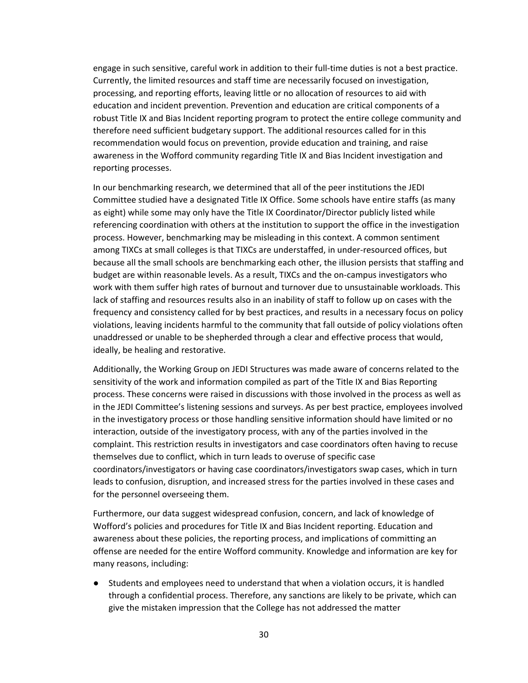engage in such sensitive, careful work in addition to their full-time duties is not a best practice. Currently, the limited resources and staff time are necessarily focused on investigation, processing, and reporting efforts, leaving little or no allocation of resources to aid with education and incident prevention. Prevention and education are critical components of a robust Title IX and Bias Incident reporting program to protect the entire college community and therefore need sufficient budgetary support. The additional resources called for in this recommendation would focus on prevention, provide education and training, and raise awareness in the Wofford community regarding Title IX and Bias Incident investigation and reporting processes.

In our benchmarking research, we determined that all of the peer institutions the JEDI Committee studied have a designated Title IX Office. Some schools have entire staffs (as many as eight) while some may only have the Title IX Coordinator/Director publicly listed while referencing coordination with others at the institution to support the office in the investigation process. However, benchmarking may be misleading in this context. A common sentiment among TIXCs at small colleges is that TIXCs are understaffed, in under-resourced offices, but because all the small schools are benchmarking each other, the illusion persists that staffing and budget are within reasonable levels. As a result, TIXCs and the on-campus investigators who work with them suffer high rates of burnout and turnover due to unsustainable workloads. This lack of staffing and resources results also in an inability of staff to follow up on cases with the frequency and consistency called for by best practices, and results in a necessary focus on policy violations, leaving incidents harmful to the community that fall outside of policy violations often unaddressed or unable to be shepherded through a clear and effective process that would, ideally, be healing and restorative.

Additionally, the Working Group on JEDI Structures was made aware of concerns related to the sensitivity of the work and information compiled as part of the Title IX and Bias Reporting process. These concerns were raised in discussions with those involved in the process as well as in the JEDI Committee's listening sessions and surveys. As per best practice, employees involved in the investigatory process or those handling sensitive information should have limited or no interaction, outside of the investigatory process, with any of the parties involved in the complaint. This restriction results in investigators and case coordinators often having to recuse themselves due to conflict, which in turn leads to overuse of specific case coordinators/investigators or having case coordinators/investigators swap cases, which in turn leads to confusion, disruption, and increased stress for the parties involved in these cases and for the personnel overseeing them.

Furthermore, our data suggest widespread confusion, concern, and lack of knowledge of Wofford's policies and procedures for Title IX and Bias Incident reporting. Education and awareness about these policies, the reporting process, and implications of committing an offense are needed for the entire Wofford community. Knowledge and information are key for many reasons, including:

● Students and employees need to understand that when a violation occurs, it is handled through a confidential process. Therefore, any sanctions are likely to be private, which can give the mistaken impression that the College has not addressed the matter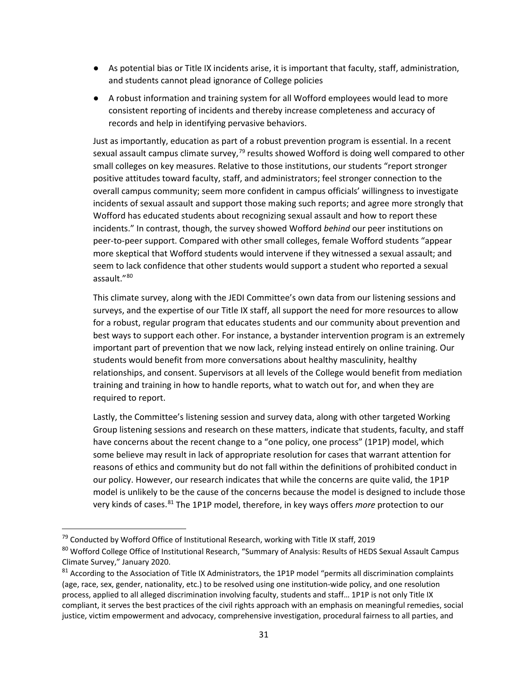- As potential bias or Title IX incidents arise, it is important that faculty, staff, administration, and students cannot plead ignorance of College policies
- A robust information and training system for all Wofford employees would lead to more consistent reporting of incidents and thereby increase completeness and accuracy of records and help in identifying pervasive behaviors.

Just as importantly, education as part of a robust prevention program is essential. In a recent sexual assault campus climate survey,<sup>[79](#page-30-0)</sup> results showed Wofford is doing well compared to other small colleges on key measures. Relative to those institutions, our students "report stronger positive attitudes toward faculty, staff, and administrators; feel stronger connection to the overall campus community; seem more confident in campus officials' willingness to investigate incidents of sexual assault and support those making such reports; and agree more strongly that Wofford has educated students about recognizing sexual assault and how to report these incidents." In contrast, though, the survey showed Wofford *behind* our peer institutions on peer-to-peer support. Compared with other small colleges, female Wofford students "appear more skeptical that Wofford students would intervene if they witnessed a sexual assault; and seem to lack confidence that other students would support a student who reported a sexual assault."[80](#page-30-1)

This climate survey, along with the JEDI Committee's own data from our listening sessions and surveys, and the expertise of our Title IX staff, all support the need for more resources to allow for a robust, regular program that educates students and our community about prevention and best ways to support each other. For instance, a bystander intervention program is an extremely important part of prevention that we now lack, relying instead entirely on online training. Our students would benefit from more conversations about healthy masculinity, healthy relationships, and consent. Supervisors at all levels of the College would benefit from mediation training and training in how to handle reports, what to watch out for, and when they are required to report.

Lastly, the Committee's listening session and survey data, along with other targeted Working Group listening sessions and research on these matters, indicate that students, faculty, and staff have concerns about the recent change to a "one policy, one process" (1P1P) model, which some believe may result in lack of appropriate resolution for cases that warrant attention for reasons of ethics and community but do not fall within the definitions of prohibited conduct in our policy. However, our research indicates that while the concerns are quite valid, the 1P1P model is unlikely to be the cause of the concerns because the model is designed to include those very kinds of cases.[81](#page-30-2) The 1P1P model, therefore, in key ways offers *more* protection to our

<span id="page-30-0"></span> $79$  Conducted by Wofford Office of Institutional Research, working with Title IX staff, 2019

<span id="page-30-1"></span><sup>80</sup> Wofford College Office of Institutional Research, "Summary of Analysis: Results of HEDS Sexual Assault Campus Climate Survey," January 2020.

<span id="page-30-2"></span><sup>81</sup> According to the Association of Title IX Administrators, the 1P1P model "permits all discrimination complaints (age, race, sex, gender, nationality, etc.) to be resolved using one institution-wide policy, and one resolution process, applied to all alleged discrimination involving faculty, students and staff… 1P1P is not only Title IX compliant, it serves the best practices of the civil rights approach with an emphasis on meaningful remedies, social justice, victim empowerment and advocacy, comprehensive investigation, procedural fairness to all parties, and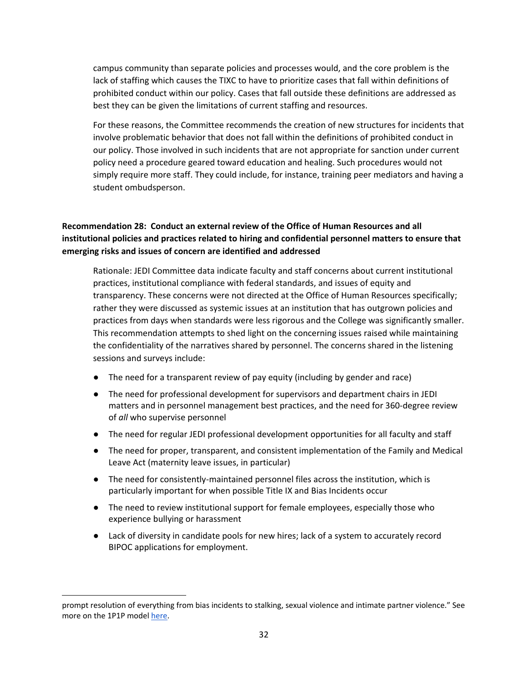campus community than separate policies and processes would, and the core problem is the lack of staffing which causes the TIXC to have to prioritize cases that fall within definitions of prohibited conduct within our policy. Cases that fall outside these definitions are addressed as best they can be given the limitations of current staffing and resources.

For these reasons, the Committee recommends the creation of new structures for incidents that involve problematic behavior that does not fall within the definitions of prohibited conduct in our policy. Those involved in such incidents that are not appropriate for sanction under current policy need a procedure geared toward education and healing. Such procedures would not simply require more staff. They could include, for instance, training peer mediators and having a student ombudsperson.

## <span id="page-31-0"></span>**Recommendation 28: Conduct an external review of the Office of Human Resources and all institutional policies and practices related to hiring and confidential personnel matters to ensure that emerging risks and issues of concern are identified and addressed**

Rationale: JEDI Committee data indicate faculty and staff concerns about current institutional practices, institutional compliance with federal standards, and issues of equity and transparency. These concerns were not directed at the Office of Human Resources specifically; rather they were discussed as systemic issues at an institution that has outgrown policies and practices from days when standards were less rigorous and the College was significantly smaller. This recommendation attempts to shed light on the concerning issues raised while maintaining the confidentiality of the narratives shared by personnel. The concerns shared in the listening sessions and surveys include:

- The need for a transparent review of pay equity (including by gender and race)
- The need for professional development for supervisors and department chairs in JEDI matters and in personnel management best practices, and the need for 360-degree review of *all* who supervise personnel
- The need for regular JEDI professional development opportunities for all faculty and staff
- The need for proper, transparent, and consistent implementation of the Family and Medical Leave Act (maternity leave issues, in particular)
- The need for consistently-maintained personnel files across the institution, which is particularly important for when possible Title IX and Bias Incidents occur
- The need to review institutional support for female employees, especially those who experience bullying or harassment
- Lack of diversity in candidate pools for new hires; lack of a system to accurately record BIPOC applications for employment.

prompt resolution of everything from bias incidents to stalking, sexual violence and intimate partner violence." See more on the 1P1P mode[l here.](https://www.prnewswire.com/news-releases/atixa-releases-brand-new-and-fully-revised-one-policy-one-process-model-policy-the-only-2019-ready-model-available-to-the-field-300783111.html)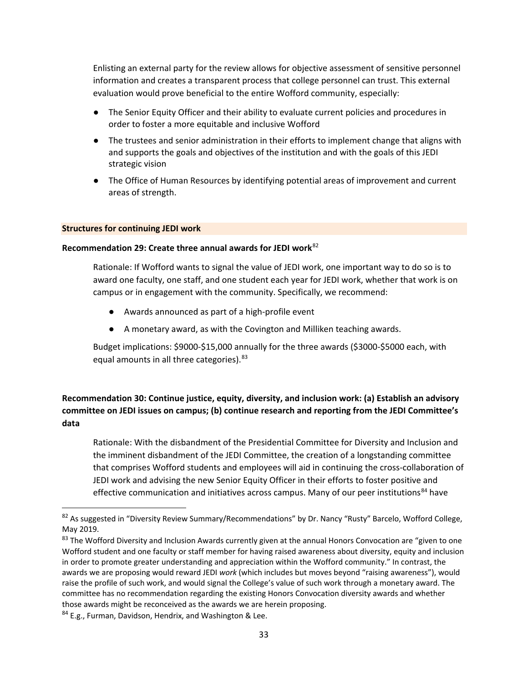Enlisting an external party for the review allows for objective assessment of sensitive personnel information and creates a transparent process that college personnel can trust. This external evaluation would prove beneficial to the entire Wofford community, especially:

- The Senior Equity Officer and their ability to evaluate current policies and procedures in order to foster a more equitable and inclusive Wofford
- The trustees and senior administration in their efforts to implement change that aligns with and supports the goals and objectives of the institution and with the goals of this JEDI strategic vision
- The Office of Human Resources by identifying potential areas of improvement and current areas of strength.

#### **Structures for continuing JEDI work**

#### <span id="page-32-0"></span>**Recommendation 29: Create three annual awards for JEDI work**[82](#page-32-2)

Rationale: If Wofford wants to signal the value of JEDI work, one important way to do so is to award one faculty, one staff, and one student each year for JEDI work, whether that work is on campus or in engagement with the community. Specifically, we recommend:

- Awards announced as part of a high-profile event
- A monetary award, as with the Covington and Milliken teaching awards.

Budget implications: \$9000-\$15,000 annually for the three awards (\$3000-\$5000 each, with equal amounts in all three categories). <sup>[83](#page-32-3)</sup>

# <span id="page-32-1"></span>**Recommendation 30: Continue justice, equity, diversity, and inclusion work: (a) Establish an advisory committee on JEDI issues on campus; (b) continue research and reporting from the JEDI Committee's data**

Rationale: With the disbandment of the Presidential Committee for Diversity and Inclusion and the imminent disbandment of the JEDI Committee, the creation of a longstanding committee that comprises Wofford students and employees will aid in continuing the cross-collaboration of JEDI work and advising the new Senior Equity Officer in their efforts to foster positive and effective communication and initiatives across campus. Many of our peer institutions<sup>[84](#page-32-4)</sup> have

<span id="page-32-2"></span><sup>&</sup>lt;sup>82</sup> As suggested in "Diversity Review Summary/Recommendations" by Dr. Nancy "Rusty" Barcelo, Wofford College, May 2019.

<span id="page-32-3"></span><sup>&</sup>lt;sup>83</sup> The Wofford Diversity and Inclusion Awards currently given at the annual Honors Convocation are "given to one Wofford student and one faculty or staff member for having raised awareness about diversity, equity and inclusion in order to promote greater understanding and appreciation within the Wofford community." In contrast, the awards we are proposing would reward JEDI *work* (which includes but moves beyond "raising awareness"), would raise the profile of such work, and would signal the College's value of such work through a monetary award. The committee has no recommendation regarding the existing Honors Convocation diversity awards and whether those awards might be reconceived as the awards we are herein proposing.

<span id="page-32-4"></span><sup>&</sup>lt;sup>84</sup> E.g., Furman, Davidson, Hendrix, and Washington & Lee.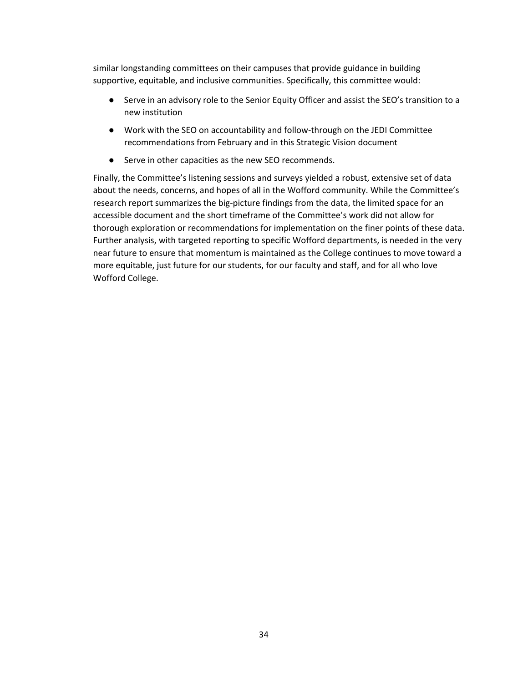similar longstanding committees on their campuses that provide guidance in building supportive, equitable, and inclusive communities. Specifically, this committee would:

- Serve in an advisory role to the Senior Equity Officer and assist the SEO's transition to a new institution
- Work with the SEO on accountability and follow-through on the JEDI Committee recommendations from February and in this Strategic Vision document
- Serve in other capacities as the new SEO recommends.

Finally, the Committee's listening sessions and surveys yielded a robust, extensive set of data about the needs, concerns, and hopes of all in the Wofford community. While the Committee's research report summarizes the big-picture findings from the data, the limited space for an accessible document and the short timeframe of the Committee's work did not allow for thorough exploration or recommendations for implementation on the finer points of these data. Further analysis, with targeted reporting to specific Wofford departments, is needed in the very near future to ensure that momentum is maintained as the College continues to move toward a more equitable, just future for our students, for our faculty and staff, and for all who love Wofford College.